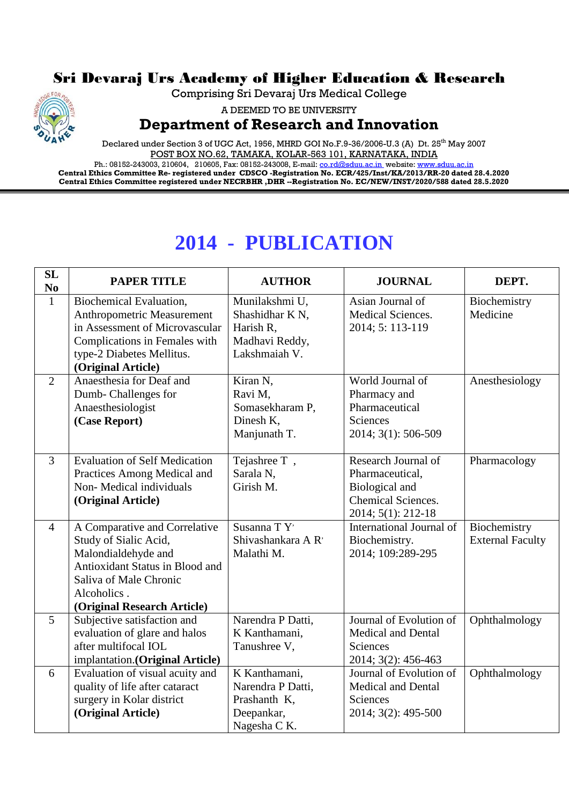## Sri Devaraj Urs Academy of Higher Education & Research

Comprising Sri Devaraj Urs Medical College



A DEEMED TO BE UNIVERSITY

## **Department of Research and Innovation**

Declared under Section 3 of UGC Act, 1956, MHRD GOI No.F.9-36/2006-U.3 (A) Dt. 25<sup>th</sup> May 2007 POST BOX NO.62, TAMAKA, KOLAR-563 101, KARNATAKA, INDIA

Ph.: 08152-243003, 210604, 210605, Fax: 08152-243008, E-mail: <u>co.rd@sduu.ac.in</u>\_website: <u>www.sduu.ac.in</u> **Central Ethics Committee Re- registered under CDSCO -Registration No. ECR/425/Inst/KA/2013/RR-20 dated 28.4.2020 Central Ethics Committee registered under NECRBHR ,DHR --Registration No. EC/NEW/INST/2020/588 dated 28.5.2020**

## **2014 - PUBLICATION**

| <b>SL</b><br>$\bf No$ | <b>PAPER TITLE</b>                   | <b>AUTHOR</b>               | <b>JOURNAL</b>            | DEPT.                   |
|-----------------------|--------------------------------------|-----------------------------|---------------------------|-------------------------|
| $\mathbf{1}$          | Biochemical Evaluation,              | Munilakshmi U,              | Asian Journal of          | Biochemistry            |
|                       | Anthropometric Measurement           | Shashidhar K <sub>N</sub> , | Medical Sciences.         | Medicine                |
|                       | in Assessment of Microvascular       | Harish R,                   | 2014; 5: 113-119          |                         |
|                       | Complications in Females with        | Madhavi Reddy,              |                           |                         |
|                       | type-2 Diabetes Mellitus.            | Lakshmaiah V.               |                           |                         |
|                       | (Original Article)                   |                             |                           |                         |
| $\overline{2}$        | Anaesthesia for Deaf and             | Kiran N,                    | World Journal of          | Anesthesiology          |
|                       | Dumb-Challenges for                  | Ravi M,                     | Pharmacy and              |                         |
|                       | Anaesthesiologist                    | Somasekharam P,             | Pharmaceutical            |                         |
|                       | (Case Report)                        | Dinesh K.                   | <b>Sciences</b>           |                         |
|                       |                                      | Manjunath T.                | 2014; 3(1): 506-509       |                         |
| $\overline{3}$        | <b>Evaluation of Self Medication</b> | Tejashree T,                | Research Journal of       | Pharmacology            |
|                       | Practices Among Medical and          | Sarala N,                   | Pharmaceutical,           |                         |
|                       | Non-Medical individuals              | Girish M.                   | Biological and            |                         |
|                       | (Original Article)                   |                             | Chemical Sciences.        |                         |
|                       |                                      |                             | 2014; 5(1): 212-18        |                         |
| $\overline{4}$        | A Comparative and Correlative        | Susanna TY <sup>,</sup>     | International Journal of  | Biochemistry            |
|                       | Study of Sialic Acid,                | Shivashankara A R'          | Biochemistry.             | <b>External Faculty</b> |
|                       | Malondialdehyde and                  | Malathi M.                  | 2014; 109:289-295         |                         |
|                       | Antioxidant Status in Blood and      |                             |                           |                         |
|                       | Saliva of Male Chronic               |                             |                           |                         |
|                       | Alcoholics.                          |                             |                           |                         |
|                       | (Original Research Article)          |                             |                           |                         |
| $\overline{5}$        | Subjective satisfaction and          | Narendra P Datti,           | Journal of Evolution of   | Ophthalmology           |
|                       | evaluation of glare and halos        | K Kanthamani,               | <b>Medical and Dental</b> |                         |
|                       | after multifocal IOL                 | Tanushree V,                | Sciences                  |                         |
|                       | implantation.(Original Article)      |                             | 2014; 3(2): 456-463       |                         |
| 6                     | Evaluation of visual acuity and      | K Kanthamani,               | Journal of Evolution of   | Ophthalmology           |
|                       | quality of life after cataract       | Narendra P Datti,           | <b>Medical and Dental</b> |                         |
|                       | surgery in Kolar district            | Prashanth K,                | Sciences                  |                         |
|                       | (Original Article)                   | Deepankar,                  | 2014; 3(2): 495-500       |                         |
|                       |                                      | Nagesha C K.                |                           |                         |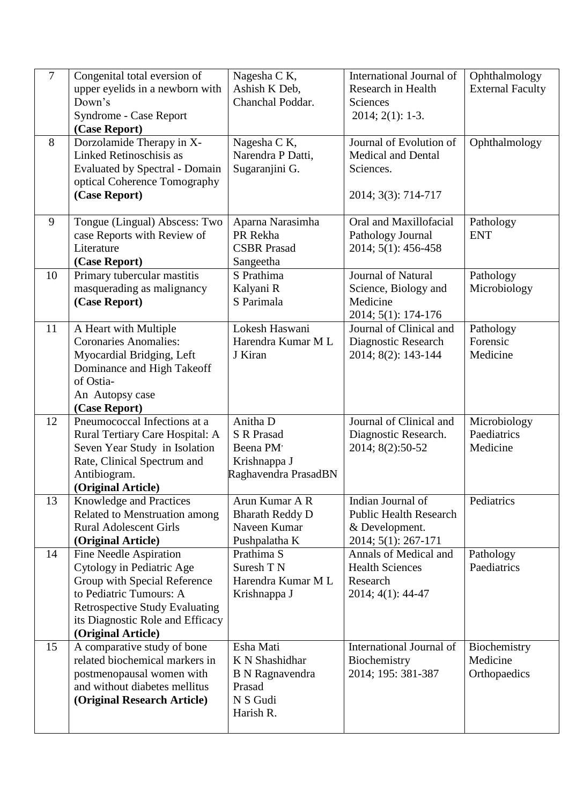| $\overline{7}$ | Congenital total eversion of<br>upper eyelids in a newborn with<br>Down's<br>Syndrome - Case Report<br>(Case Report)                                                                                              | Nagesha C K,<br>Ashish K Deb,<br>Chanchal Poddar.                                        | International Journal of<br>Research in Health<br>Sciences<br>$2014; 2(1): 1-3.$            | Ophthalmology<br><b>External Faculty</b> |
|----------------|-------------------------------------------------------------------------------------------------------------------------------------------------------------------------------------------------------------------|------------------------------------------------------------------------------------------|---------------------------------------------------------------------------------------------|------------------------------------------|
| 8              | Dorzolamide Therapy in X-<br>Linked Retinoschisis as<br><b>Evaluated by Spectral - Domain</b><br>optical Coherence Tomography<br>(Case Report)                                                                    | Nagesha C K,<br>Narendra P Datti,<br>Sugaranjini G.                                      | Journal of Evolution of<br><b>Medical and Dental</b><br>Sciences.<br>2014; 3(3): 714-717    | Ophthalmology                            |
| 9              | Tongue (Lingual) Abscess: Two<br>case Reports with Review of<br>Literature<br>(Case Report)                                                                                                                       | Aparna Narasimha<br>PR Rekha<br><b>CSBR</b> Prasad<br>Sangeetha                          | Oral and Maxillofacial<br>Pathology Journal<br>2014; 5(1): 456-458                          | Pathology<br><b>ENT</b>                  |
| 10             | Primary tubercular mastitis<br>masquerading as malignancy<br>(Case Report)                                                                                                                                        | S Prathima<br>Kalyani R<br>S Parimala                                                    | Journal of Natural<br>Science, Biology and<br>Medicine<br>2014; 5(1): 174-176               | Pathology<br>Microbiology                |
| 11             | A Heart with Multiple<br><b>Coronaries Anomalies:</b><br>Myocardial Bridging, Left<br>Dominance and High Takeoff<br>of Ostia-<br>An Autopsy case<br>(Case Report)                                                 | Lokesh Haswani<br>Harendra Kumar M L<br>J Kiran                                          | Journal of Clinical and<br>Diagnostic Research<br>2014; 8(2): 143-144                       | Pathology<br>Forensic<br>Medicine        |
| 12             | Pneumococcal Infections at a<br>Rural Tertiary Care Hospital: A<br>Seven Year Study in Isolation<br>Rate, Clinical Spectrum and<br>Antibiogram.<br>(Original Article)                                             | Anitha D<br><b>S R Prasad</b><br>Beena PM<br>Krishnappa J<br>Raghavendra PrasadBN        | Journal of Clinical and<br>Diagnostic Research.<br>2014; 8(2):50-52                         | Microbiology<br>Paediatrics<br>Medicine  |
| 13             | Knowledge and Practices<br>Related to Menstruation among<br><b>Rural Adolescent Girls</b><br>(Original Article)                                                                                                   | Arun Kumar A R<br><b>Bharath Reddy D</b><br>Naveen Kumar<br>Pushpalatha K                | Indian Journal of<br><b>Public Health Research</b><br>& Development.<br>2014; 5(1): 267-171 | Pediatrics                               |
| 14             | Fine Needle Aspiration<br>Cytology in Pediatric Age<br>Group with Special Reference<br>to Pediatric Tumours: A<br><b>Retrospective Study Evaluating</b><br>its Diagnostic Role and Efficacy<br>(Original Article) | Prathima S<br>Suresh TN<br>Harendra Kumar M L<br>Krishnappa J                            | Annals of Medical and<br><b>Health Sciences</b><br>Research<br>2014; 4(1): 44-47            | Pathology<br>Paediatrics                 |
| 15             | A comparative study of bone<br>related biochemical markers in<br>postmenopausal women with<br>and without diabetes mellitus<br>(Original Research Article)                                                        | Esha Mati<br>K N Shashidhar<br><b>B</b> N Ragnavendra<br>Prasad<br>N S Gudi<br>Harish R. | International Journal of<br>Biochemistry<br>2014; 195: 381-387                              | Biochemistry<br>Medicine<br>Orthopaedics |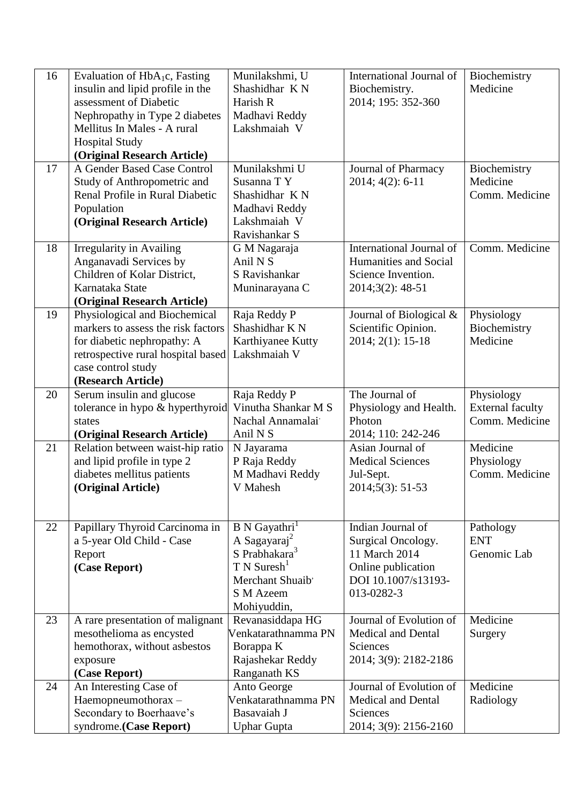| 16 | Evaluation of $HbA_1c$ , Fasting   | Munilakshmi, U            | International Journal of     | Biochemistry            |
|----|------------------------------------|---------------------------|------------------------------|-------------------------|
|    | insulin and lipid profile in the   | Shashidhar KN             | Biochemistry.                | Medicine                |
|    | assessment of Diabetic             | Harish R                  | 2014; 195: 352-360           |                         |
|    | Nephropathy in Type 2 diabetes     | Madhavi Reddy             |                              |                         |
|    | Mellitus In Males - A rural        | Lakshmaiah V              |                              |                         |
|    | <b>Hospital Study</b>              |                           |                              |                         |
|    | (Original Research Article)        |                           |                              |                         |
| 17 | A Gender Based Case Control        | Munilakshmi U             | Journal of Pharmacy          | Biochemistry            |
|    | Study of Anthropometric and        | Susanna TY                | 2014; 4(2): 6-11             | Medicine                |
|    | Renal Profile in Rural Diabetic    | Shashidhar KN             |                              | Comm. Medicine          |
|    | Population                         | Madhavi Reddy             |                              |                         |
|    | (Original Research Article)        | Lakshmaiah V              |                              |                         |
|    |                                    | Ravishankar S             |                              |                         |
| 18 | <b>Irregularity in Availing</b>    | G M Nagaraja              | International Journal of     | Comm. Medicine          |
|    | Anganavadi Services by             | Anil N <sub>S</sub>       | <b>Humanities and Social</b> |                         |
|    | Children of Kolar District,        | S Ravishankar             | Science Invention.           |                         |
|    | Karnataka State                    | Muninarayana C            | 2014;3(2): 48-51             |                         |
|    | (Original Research Article)        |                           |                              |                         |
| 19 | Physiological and Biochemical      | Raja Reddy P              | Journal of Biological &      | Physiology              |
|    | markers to assess the risk factors | Shashidhar KN             | Scientific Opinion.          | Biochemistry            |
|    | for diabetic nephropathy: A        | Karthiyanee Kutty         | 2014; 2(1): 15-18            | Medicine                |
|    | retrospective rural hospital based | Lakshmaiah V              |                              |                         |
|    | case control study                 |                           |                              |                         |
|    | (Research Article)                 |                           |                              |                         |
| 20 | Serum insulin and glucose          | Raja Reddy P              | The Journal of               | Physiology              |
|    | tolerance in hypo & hyperthyroid   | Vinutha Shankar M S       | Physiology and Health.       | <b>External faculty</b> |
|    | states                             | Nachal Annamalai          | Photon                       | Comm. Medicine          |
|    | (Original Research Article)        | Anil N S                  | 2014; 110: 242-246           |                         |
| 21 | Relation between waist-hip ratio   | N Jayarama                | Asian Journal of             | Medicine                |
|    | and lipid profile in type 2        | P Raja Reddy              | <b>Medical Sciences</b>      | Physiology              |
|    | diabetes mellitus patients         | M Madhavi Reddy           | Jul-Sept.                    | Comm. Medicine          |
|    | (Original Article)                 | V Mahesh                  | 2014;5(3): 51-53             |                         |
|    |                                    |                           |                              |                         |
|    |                                    |                           |                              |                         |
| 22 | Papillary Thyroid Carcinoma in     | B N Gayathri              | Indian Journal of            | Pathology               |
|    | a 5-year Old Child - Case          | A Sagayaraj <sup>2</sup>  | Surgical Oncology.           | <b>ENT</b>              |
|    | Report                             | S Prabhakara <sup>3</sup> | 11 March 2014                | Genomic Lab             |
|    | (Case Report)                      | $T N$ Suresh <sup>1</sup> | Online publication           |                         |
|    |                                    | Merchant Shuaib'          | DOI 10.1007/s13193-          |                         |
|    |                                    | S M Azeem                 | 013-0282-3                   |                         |
|    |                                    | Mohiyuddin,               |                              |                         |
| 23 | A rare presentation of malignant   | Revanasiddapa HG          | Journal of Evolution of      | Medicine                |
|    | mesothelioma as encysted           | Venkatarathnamma PN       | <b>Medical and Dental</b>    | Surgery                 |
|    | hemothorax, without asbestos       | Borappa K                 | Sciences                     |                         |
|    | exposure                           | Rajashekar Reddy          | 2014; 3(9): 2182-2186        |                         |
|    | (Case Report)                      | Ranganath KS              |                              |                         |
| 24 | An Interesting Case of             | Anto George               | Journal of Evolution of      | Medicine                |
|    | Haemopneumothorax -                | Venkatarathnamma PN       | <b>Medical and Dental</b>    | Radiology               |
|    | Secondary to Boerhaave's           | Basavaiah J               | Sciences                     |                         |
|    | syndrome.(Case Report)             | <b>Uphar Gupta</b>        | 2014; 3(9): 2156-2160        |                         |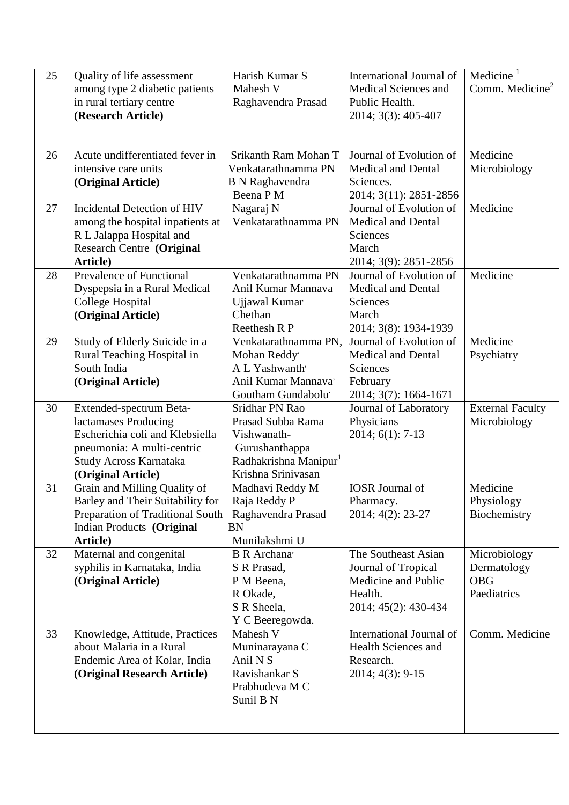| 25 | Quality of life assessment<br>among type 2 diabetic patients<br>in rural tertiary centre<br>(Research Article)                                                   | Harish Kumar S<br>Mahesh V<br>Raghavendra Prasad                                                                                | International Journal of<br>Medical Sciences and<br>Public Health.<br>2014; 3(3): 405-407             | Medicine <sup>1</sup><br>Comm. Medicine <sup>2</sup>     |
|----|------------------------------------------------------------------------------------------------------------------------------------------------------------------|---------------------------------------------------------------------------------------------------------------------------------|-------------------------------------------------------------------------------------------------------|----------------------------------------------------------|
| 26 | Acute undifferentiated fever in<br>intensive care units<br>(Original Article)                                                                                    | Srikanth Ram Mohan T<br>Venkatarathnamma PN<br><b>B</b> N Raghavendra<br>Beena P M                                              | Journal of Evolution of<br><b>Medical and Dental</b><br>Sciences.<br>2014; 3(11): 2851-2856           | Medicine<br>Microbiology                                 |
| 27 | Incidental Detection of HIV<br>among the hospital inpatients at<br>R L Jalappa Hospital and<br><b>Research Centre (Original</b><br>Article)                      | Nagaraj N<br>Venkatarathnamma PN                                                                                                | Journal of Evolution of<br><b>Medical and Dental</b><br>Sciences<br>March<br>2014; 3(9): 2851-2856    | Medicine                                                 |
| 28 | <b>Prevalence of Functional</b><br>Dyspepsia in a Rural Medical<br>College Hospital<br>(Original Article)                                                        | Venkatarathnamma PN<br>Anil Kumar Mannava<br>Ujjawal Kumar<br>Chethan<br><b>Reethesh R P</b>                                    | Journal of Evolution of<br><b>Medical and Dental</b><br>Sciences<br>March<br>2014; 3(8): 1934-1939    | Medicine                                                 |
| 29 | Study of Elderly Suicide in a<br>Rural Teaching Hospital in<br>South India<br>(Original Article)                                                                 | Venkatarathnamma PN,<br>Mohan Reddy'<br>A L Yashwanth'<br>Anil Kumar Mannava'<br>Goutham Gundabolu <sup>®</sup>                 | Journal of Evolution of<br><b>Medical and Dental</b><br>Sciences<br>February<br>2014; 3(7): 1664-1671 | Medicine<br>Psychiatry                                   |
| 30 | Extended-spectrum Beta-<br>lactamases Producing<br>Escherichia coli and Klebsiella<br>pneumonia: A multi-centric<br>Study Across Karnataka<br>(Original Article) | Sridhar PN Rao<br>Prasad Subba Rama<br>Vishwanath-<br>Gurushanthappa<br>Radhakrishna Manipur <sup>1</sup><br>Krishna Srinivasan | Journal of Laboratory<br>Physicians<br>$2014; 6(1): 7-13$                                             | <b>External Faculty</b><br>Microbiology                  |
| 31 | Grain and Milling Quality of<br>Barley and Their Suitability for<br>Preparation of Traditional South<br>Indian Products (Original<br>Article)                    | Madhavi Reddy M<br>Raja Reddy P<br>Raghavendra Prasad<br><b>BN</b><br>Munilakshmi U                                             | <b>IOSR</b> Journal of<br>Pharmacy.<br>2014; 4(2): 23-27                                              | Medicine<br>Physiology<br>Biochemistry                   |
| 32 | Maternal and congenital<br>syphilis in Karnataka, India<br>(Original Article)                                                                                    | <b>B</b> R Archana'<br>S R Prasad,<br>P M Beena,<br>R Okade,<br>S R Sheela,<br>Y C Beeregowda.                                  | The Southeast Asian<br>Journal of Tropical<br>Medicine and Public<br>Health.<br>2014; 45(2): 430-434  | Microbiology<br>Dermatology<br><b>OBG</b><br>Paediatrics |
| 33 | Knowledge, Attitude, Practices<br>about Malaria in a Rural<br>Endemic Area of Kolar, India<br>(Original Research Article)                                        | Mahesh V<br>Muninarayana C<br>Anil N <sub>S</sub><br>Ravishankar S<br>Prabhudeva M C<br>Sunil B N                               | International Journal of<br><b>Health Sciences and</b><br>Research.<br>2014; 4(3): 9-15               | Comm. Medicine                                           |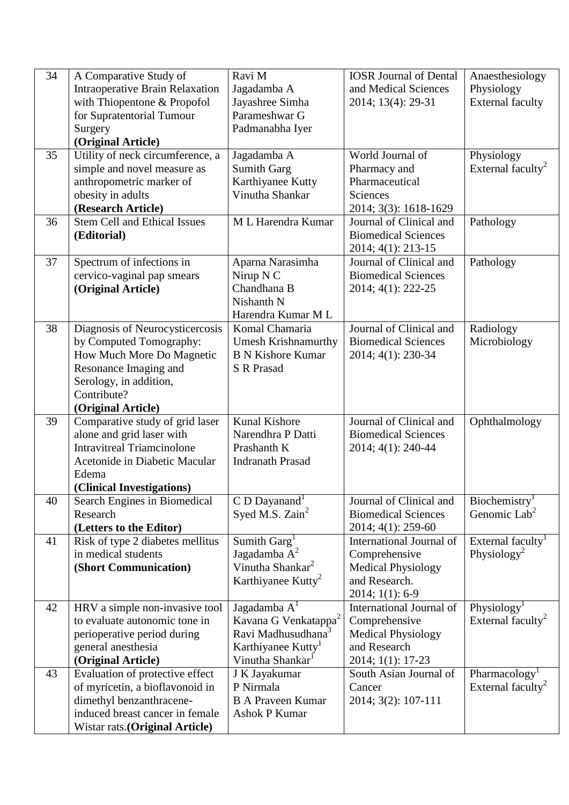| 34 | A Comparative Study of                 | Ravi M                           | <b>IOSR Journal of Dental</b> | Anaesthesiology               |
|----|----------------------------------------|----------------------------------|-------------------------------|-------------------------------|
|    | <b>Intraoperative Brain Relaxation</b> | Jagadamba A                      | and Medical Sciences          | Physiology                    |
|    | with Thiopentone & Propofol            | Jayashree Simha                  | 2014; 13(4): 29-31            | <b>External faculty</b>       |
|    | for Supratentorial Tumour              | Parameshwar G                    |                               |                               |
|    | Surgery                                | Padmanabha Iyer                  |                               |                               |
|    | (Original Article)                     |                                  |                               |                               |
| 35 | Utility of neck circumference, a       | Jagadamba A                      | World Journal of              | Physiology                    |
|    | simple and novel measure as            | <b>Sumith Garg</b>               | Pharmacy and                  | External faculty <sup>2</sup> |
|    | anthropometric marker of               | Karthiyanee Kutty                | Pharmaceutical                |                               |
|    | obesity in adults                      | Vinutha Shankar                  | Sciences                      |                               |
|    | (Research Article)                     |                                  | 2014; 3(3): 1618-1629         |                               |
| 36 | <b>Stem Cell and Ethical Issues</b>    | M L Harendra Kumar               | Journal of Clinical and       | Pathology                     |
|    | (Editorial)                            |                                  | <b>Biomedical Sciences</b>    |                               |
|    |                                        |                                  | 2014; 4(1): 213-15            |                               |
| 37 | Spectrum of infections in              | Aparna Narasimha                 | Journal of Clinical and       | Pathology                     |
|    | cervico-vaginal pap smears             | Nirup N C                        | <b>Biomedical Sciences</b>    |                               |
|    | (Original Article)                     | Chandhana B                      | 2014; 4(1): 222-25            |                               |
|    |                                        | Nishanth N                       |                               |                               |
|    |                                        | Harendra Kumar M L               |                               |                               |
| 38 | Diagnosis of Neurocysticercosis        | Komal Chamaria                   | Journal of Clinical and       | Radiology                     |
|    | by Computed Tomography:                | <b>Umesh Krishnamurthy</b>       | <b>Biomedical Sciences</b>    | Microbiology                  |
|    | How Much More Do Magnetic              | <b>B N Kishore Kumar</b>         | 2014; 4(1): 230-34            |                               |
|    | Resonance Imaging and                  | <b>S R Prasad</b>                |                               |                               |
|    | Serology, in addition,                 |                                  |                               |                               |
|    | Contribute?                            |                                  |                               |                               |
|    | (Original Article)                     |                                  |                               |                               |
| 39 | Comparative study of grid laser        | <b>Kunal Kishore</b>             | Journal of Clinical and       | Ophthalmology                 |
|    | alone and grid laser with              | Narendhra P Datti                | <b>Biomedical Sciences</b>    |                               |
|    | <b>Intravitreal Triamcinolone</b>      | Prashanth K                      | 2014; 4(1): 240-44            |                               |
|    | Acetonide in Diabetic Macular          | <b>Indranath Prasad</b>          |                               |                               |
|    | Edema<br>(Clinical Investigations)     |                                  |                               |                               |
| 40 | Search Engines in Biomedical           | C D Dayanand <sup>1</sup>        | Journal of Clinical and       | Biochemistry <sup>1</sup>     |
|    | Research                               | Syed M.S. Zain <sup>2</sup>      | <b>Biomedical Sciences</b>    | Genomic Lab <sup>2</sup>      |
|    | (Letters to the Editor)                |                                  | 2014; 4(1): 259-60            |                               |
| 41 | Risk of type 2 diabetes mellitus       | Sumith Garg <sup>1</sup>         | International Journal of      | External faculty <sup>1</sup> |
|    | in medical students                    | Jagadamba $A^2$                  | Comprehensive                 | Physiology <sup>2</sup>       |
|    | (Short Communication)                  | Vinutha Shankar <sup>2</sup>     | <b>Medical Physiology</b>     |                               |
|    |                                        | Karthiyanee Kutty <sup>2</sup>   | and Research.                 |                               |
|    |                                        |                                  | 2014; 1(1): 6-9               |                               |
| 42 | HRV a simple non-invasive tool         | Jagadamba $A1$                   | International Journal of      | Physiology <sup>1</sup>       |
|    | to evaluate autonomic tone in          | Kavana G Venkatappa <sup>2</sup> | Comprehensive                 | External faculty <sup>2</sup> |
|    | perioperative period during            | Ravi Madhusudhana <sup>3</sup>   | <b>Medical Physiology</b>     |                               |
|    | general anesthesia                     | Karthiyanee Kutty <sup>1</sup>   | and Research                  |                               |
|    | (Original Article)                     | Vinutha Shankar <sup>1</sup>     | 2014; 1(1): 17-23             |                               |
| 43 | Evaluation of protective effect        | J K Jayakumar                    | South Asian Journal of        | Pharmacology <sup>1</sup>     |
|    | of myricetin, a bioflavonoid in        | P Nirmala                        | Cancer                        | External faculty <sup>2</sup> |
|    | dimethyl benzanthracene-               | <b>B A Praveen Kumar</b>         | 2014; 3(2): 107-111           |                               |
|    | induced breast cancer in female        | <b>Ashok P Kumar</b>             |                               |                               |
|    | Wistar rats. (Original Article)        |                                  |                               |                               |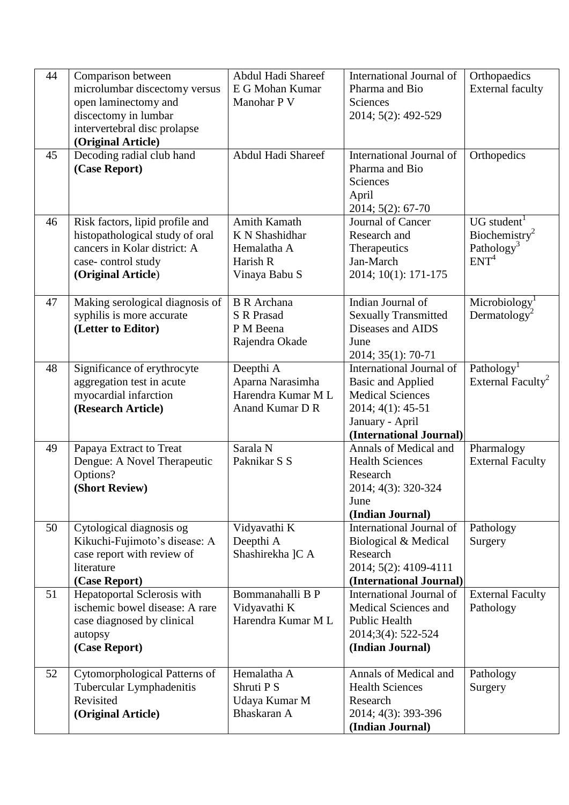| 44 | Comparison between<br>microlumbar discectomy versus<br>open laminectomy and<br>discectomy in lumbar<br>intervertebral disc prolapse<br>(Original Article) | Abdul Hadi Shareef<br>E G Mohan Kumar<br>Manohar P V                       | International Journal of<br>Pharma and Bio<br>Sciences<br>2014; 5(2): 492-529                                                                      | Orthopaedics<br><b>External faculty</b>                                               |
|----|-----------------------------------------------------------------------------------------------------------------------------------------------------------|----------------------------------------------------------------------------|----------------------------------------------------------------------------------------------------------------------------------------------------|---------------------------------------------------------------------------------------|
| 45 | Decoding radial club hand<br>(Case Report)                                                                                                                | Abdul Hadi Shareef                                                         | International Journal of<br>Pharma and Bio<br>Sciences<br>April<br>2014; 5(2): 67-70                                                               | Orthopedics                                                                           |
| 46 | Risk factors, lipid profile and<br>histopathological study of oral<br>cancers in Kolar district: A<br>case-control study<br>(Original Article)            | Amith Kamath<br>K N Shashidhar<br>Hemalatha A<br>Harish R<br>Vinaya Babu S | Journal of Cancer<br>Research and<br>Therapeutics<br>Jan-March<br>2014; 10(1): 171-175                                                             | UG student<br>Biochemistry <sup>2</sup><br>Pathology <sup>3</sup><br>ENT <sup>4</sup> |
| 47 | Making serological diagnosis of<br>syphilis is more accurate<br>(Letter to Editor)                                                                        | <b>B</b> R Archana<br><b>S</b> R Prasad<br>P M Beena<br>Rajendra Okade     | Indian Journal of<br><b>Sexually Transmitted</b><br>Diseases and AIDS<br>June<br>2014; 35(1): 70-71                                                | Microbiology<br>Dermatology <sup>2</sup>                                              |
| 48 | Significance of erythrocyte<br>aggregation test in acute<br>myocardial infarction<br>(Research Article)                                                   | Deepthi A<br>Aparna Narasimha<br>Harendra Kumar ML<br>Anand Kumar D R      | International Journal of<br><b>Basic and Applied</b><br><b>Medical Sciences</b><br>2014; 4(1): 45-51<br>January - April<br>(International Journal) | Pathology<br>External Faculty <sup>2</sup>                                            |
| 49 | Papaya Extract to Treat<br>Dengue: A Novel Therapeutic<br>Options?<br>(Short Review)                                                                      | Sarala N<br>Paknikar S S                                                   | Annals of Medical and<br><b>Health Sciences</b><br>Research<br>2014; 4(3): 320-324<br>June<br>(Indian Journal)                                     | Pharmalogy<br><b>External Faculty</b>                                                 |
| 50 | Cytological diagnosis og<br>Kikuchi-Fujimoto's disease: A<br>case report with review of<br>literature<br>(Case Report)                                    | Vidyavathi K<br>Deepthi A<br>Shashirekha ]C A                              | International Journal of<br>Biological & Medical<br>Research<br>2014; 5(2): 4109-4111<br>(International Journal)                                   | Pathology<br>Surgery                                                                  |
| 51 | Hepatoportal Sclerosis with<br>ischemic bowel disease: A rare<br>case diagnosed by clinical<br>autopsy<br>(Case Report)                                   | Bommanahalli B P<br>Vidyavathi K<br>Harendra Kumar M L                     | International Journal of<br>Medical Sciences and<br><b>Public Health</b><br>2014;3(4): 522-524<br>(Indian Journal)                                 | <b>External Faculty</b><br>Pathology                                                  |
| 52 | Cytomorphological Patterns of<br>Tubercular Lymphadenitis<br>Revisited<br>(Original Article)                                                              | Hemalatha A<br>Shruti P S<br>Udaya Kumar M<br>Bhaskaran A                  | Annals of Medical and<br><b>Health Sciences</b><br>Research<br>2014; 4(3): 393-396<br>(Indian Journal)                                             | Pathology<br>Surgery                                                                  |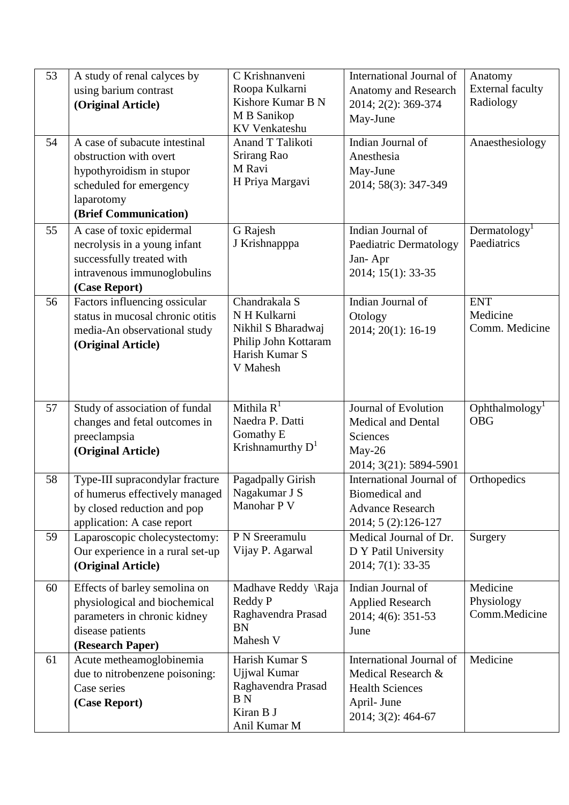| 53 | A study of renal calves by<br>using barium contrast<br>(Original Article)                                                                             | C Krishnanveni<br>Roopa Kulkarni<br>Kishore Kumar B N<br>M B Sanikop<br><b>KV</b> Venkateshu              | International Journal of<br><b>Anatomy and Research</b><br>2014; 2(2): 369-374<br>May-June                    | Anatomy<br><b>External faculty</b><br>Radiology |
|----|-------------------------------------------------------------------------------------------------------------------------------------------------------|-----------------------------------------------------------------------------------------------------------|---------------------------------------------------------------------------------------------------------------|-------------------------------------------------|
| 54 | A case of subacute intestinal<br>obstruction with overt<br>hypothyroidism in stupor<br>scheduled for emergency<br>laparotomy<br>(Brief Communication) | <b>Anand T Talikoti</b><br>Srirang Rao<br>M Ravi<br>H Priya Margavi                                       | Indian Journal of<br>Anesthesia<br>May-June<br>2014; 58(3): 347-349                                           | Anaesthesiology                                 |
| 55 | A case of toxic epidermal<br>necrolysis in a young infant<br>successfully treated with<br>intravenous immunoglobulins<br>(Case Report)                | G Rajesh<br>J Krishnapppa                                                                                 | Indian Journal of<br>Paediatric Dermatology<br>Jan-Apr<br>2014; 15(1): 33-35                                  | Dermatology <sup>1</sup><br>Paediatrics         |
| 56 | Factors influencing ossicular<br>status in mucosal chronic otitis<br>media-An observational study<br>(Original Article)                               | Chandrakala S<br>N H Kulkarni<br>Nikhil S Bharadwaj<br>Philip John Kottaram<br>Harish Kumar S<br>V Mahesh | Indian Journal of<br>Otology<br>2014; 20(1): 16-19                                                            | <b>ENT</b><br>Medicine<br>Comm. Medicine        |
| 57 | Study of association of fundal<br>changes and fetal outcomes in<br>preeclampsia<br>(Original Article)                                                 | Mithila $R^1$<br>Naedra P. Datti<br>Gomathy E<br>Krishnamurthy $D^1$                                      | Journal of Evolution<br><b>Medical and Dental</b><br><b>Sciences</b><br>May-26<br>2014; 3(21): 5894-5901      | $O$ phthalmology <sup>1</sup><br><b>OBG</b>     |
| 58 | Type-III supracondylar fracture<br>of humerus effectively managed<br>by closed reduction and pop<br>application: A case report                        | Pagadpally Girish<br>Nagakumar J S<br>Manohar P V                                                         | International Journal of<br>Biomedical and<br><b>Advance Research</b><br>2014; 5 (2):126-127                  | Orthopedics                                     |
| 59 | Laparoscopic cholecystectomy:<br>Our experience in a rural set-up<br>(Original Article)                                                               | P N Sreeramulu<br>Vijay P. Agarwal                                                                        | Medical Journal of Dr.<br>D Y Patil University<br>2014; 7(1): 33-35                                           | Surgery                                         |
| 60 | Effects of barley semolina on<br>physiological and biochemical<br>parameters in chronic kidney<br>disease patients<br>(Research Paper)                | Madhave Reddy \Raja<br>Reddy P<br>Raghavendra Prasad<br><b>BN</b><br>Mahesh V                             | Indian Journal of<br><b>Applied Research</b><br>2014; 4(6): 351-53<br>June                                    | Medicine<br>Physiology<br>Comm.Medicine         |
| 61 | Acute metheamoglobinemia<br>due to nitrobenzene poisoning:<br>Case series<br>(Case Report)                                                            | Harish Kumar S<br>Ujjwal Kumar<br>Raghavendra Prasad<br>B <sub>N</sub><br>Kiran B J<br>Anil Kumar M       | International Journal of<br>Medical Research &<br><b>Health Sciences</b><br>April- June<br>2014; 3(2): 464-67 | Medicine                                        |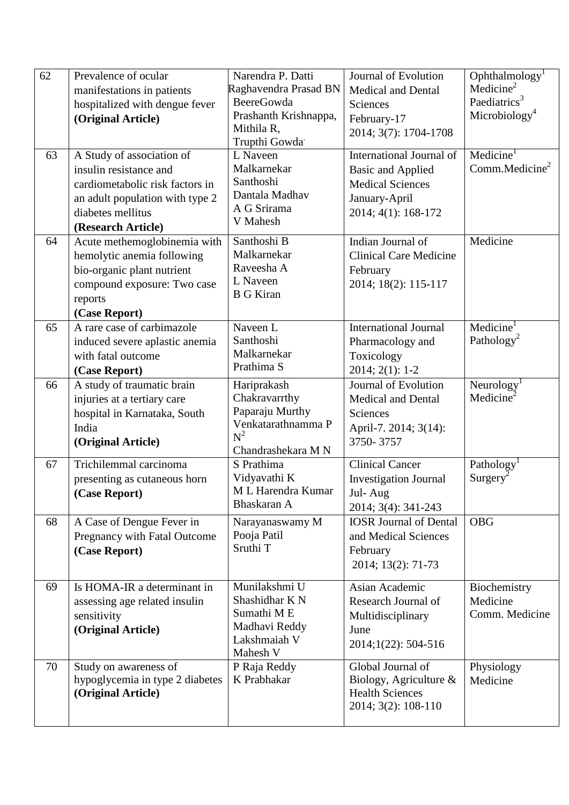| 62 | Prevalence of ocular            | Narendra P. Datti           | Journal of Evolution            | Ophthalmology <sup>1</sup> |
|----|---------------------------------|-----------------------------|---------------------------------|----------------------------|
|    | manifestations in patients      | Raghavendra Prasad BN       | <b>Medical and Dental</b>       | Medicine <sup>2</sup>      |
|    | hospitalized with dengue fever  | <b>BeereGowda</b>           | Sciences                        | Paediatrics <sup>3</sup>   |
|    | (Original Article)              | Prashanth Krishnappa,       | February-17                     | Microbiology <sup>4</sup>  |
|    |                                 | Mithila R,                  | 2014; 3(7): 1704-1708           |                            |
|    |                                 | Trupthi Gowda               |                                 |                            |
| 63 | A Study of association of       | L Naveen                    | <b>International Journal of</b> | Medicine <sup>1</sup>      |
|    | insulin resistance and          | Malkarnekar                 | <b>Basic and Applied</b>        | Comm.Medicine <sup>2</sup> |
|    | cardiometabolic risk factors in | Santhoshi                   | <b>Medical Sciences</b>         |                            |
|    | an adult population with type 2 | Dantala Madhav              | January-April                   |                            |
|    | diabetes mellitus               | A G Srirama                 | 2014; 4(1): 168-172             |                            |
|    | (Research Article)              | V Mahesh                    |                                 |                            |
| 64 | Acute methemoglobinemia with    | Santhoshi B                 | Indian Journal of               | Medicine                   |
|    | hemolytic anemia following      | Malkarnekar                 | <b>Clinical Care Medicine</b>   |                            |
|    | bio-organic plant nutrient      | Raveesha A                  | February                        |                            |
|    | compound exposure: Two case     | L Naveen                    | 2014; 18(2): 115-117            |                            |
|    | reports                         | <b>B</b> G Kiran            |                                 |                            |
|    | (Case Report)                   |                             |                                 |                            |
| 65 | A rare case of carbimazole      | Naveen L                    | <b>International Journal</b>    | Medicine <sup>T</sup>      |
|    | induced severe aplastic anemia  | Santhoshi                   | Pharmacology and                | Pathology <sup>2</sup>     |
|    | with fatal outcome              | Malkarnekar                 | Toxicology                      |                            |
|    | (Case Report)                   | Prathima S                  | $2014; 2(1): 1-2$               |                            |
| 66 | A study of traumatic brain      | Hariprakash                 | Journal of Evolution            | Neurology <sup>1</sup>     |
|    | injuries at a tertiary care     | Chakravarrthy               | <b>Medical and Dental</b>       | Medicine                   |
|    | hospital in Karnataka, South    | Paparaju Murthy             | Sciences                        |                            |
|    | India                           | Venkatarathnamma P<br>$N^2$ | April-7. 2014; 3(14):           |                            |
|    | (Original Article)              | Chandrashekara M N          | 3750-3757                       |                            |
| 67 | Trichilemmal carcinoma          | S Prathima                  | <b>Clinical Cancer</b>          | Pathology <sup>1</sup>     |
|    | presenting as cutaneous horn    | Vidyavathi K                | <b>Investigation Journal</b>    | $Surgery^2$                |
|    | (Case Report)                   | M L Harendra Kumar          | Jul-Aug                         |                            |
|    |                                 | Bhaskaran A                 | 2014; 3(4): 341-243             |                            |
| 68 | A Case of Dengue Fever in       | Narayanaswamy M             | <b>IOSR Journal of Dental</b>   | <b>OBG</b>                 |
|    | Pregnancy with Fatal Outcome    | Pooja Patil                 | and Medical Sciences            |                            |
|    | (Case Report)                   | Sruthi T                    | February                        |                            |
|    |                                 |                             | 2014; 13(2): 71-73              |                            |
|    |                                 |                             |                                 |                            |
| 69 | Is HOMA-IR a determinant in     | Munilakshmi U               | Asian Academic                  | Biochemistry               |
|    | assessing age related insulin   | Shashidhar K N              | Research Journal of             | Medicine                   |
|    | sensitivity                     | Sumathi ME                  | Multidisciplinary               | Comm. Medicine             |
|    | (Original Article)              | Madhavi Reddy               | June                            |                            |
|    |                                 | Lakshmaiah V<br>Mahesh V    | 2014;1(22): 504-516             |                            |
| 70 | Study on awareness of           | P Raja Reddy                | Global Journal of               | Physiology                 |
|    | hypoglycemia in type 2 diabetes | K Prabhakar                 | Biology, Agriculture $\&$       | Medicine                   |
|    | (Original Article)              |                             | <b>Health Sciences</b>          |                            |
|    |                                 |                             | 2014; 3(2): 108-110             |                            |
|    |                                 |                             |                                 |                            |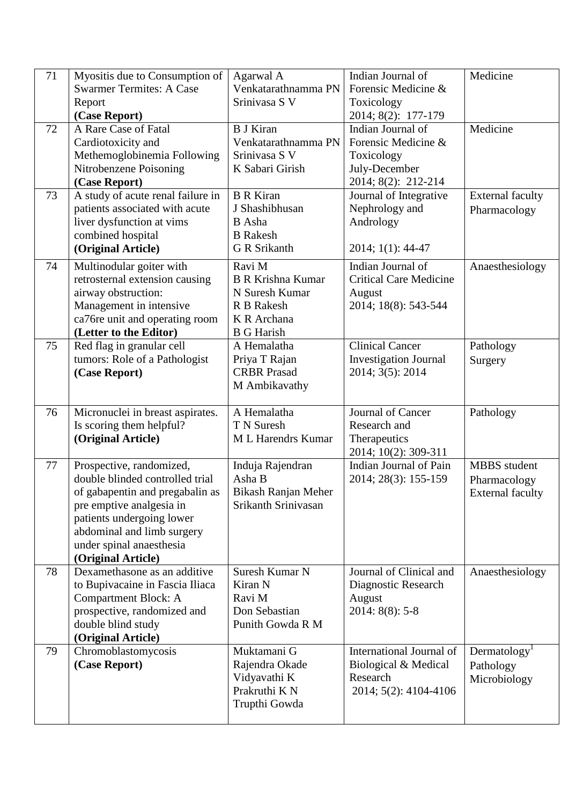| 71 | Myositis due to Consumption of                              | Agarwal A                                         | Indian Journal of             | Medicine                 |
|----|-------------------------------------------------------------|---------------------------------------------------|-------------------------------|--------------------------|
|    | <b>Swarmer Termites: A Case</b>                             | Venkatarathnamma PN                               | Forensic Medicine &           |                          |
|    | Report                                                      | Srinivasa S V                                     | Toxicology                    |                          |
|    | (Case Report)                                               |                                                   | 2014; 8(2): 177-179           |                          |
| 72 | A Rare Case of Fatal                                        | <b>B J Kiran</b>                                  | Indian Journal of             | Medicine                 |
|    | Cardiotoxicity and                                          | Venkatarathnamma PN                               | Forensic Medicine &           |                          |
|    | Methemoglobinemia Following                                 | Srinivasa S V                                     | Toxicology                    |                          |
|    | Nitrobenzene Poisoning                                      | K Sabari Girish                                   | July-December                 |                          |
|    | (Case Report)                                               |                                                   | 2014; 8(2): 212-214           |                          |
| 73 | A study of acute renal failure in                           | <b>B</b> R Kiran                                  | Journal of Integrative        | <b>External faculty</b>  |
|    | patients associated with acute                              | J Shashibhusan                                    | Nephrology and                | Pharmacology             |
|    | liver dysfunction at vims                                   | <b>B</b> Asha                                     | Andrology                     |                          |
|    | combined hospital                                           | <b>B</b> Rakesh                                   |                               |                          |
|    | (Original Article)                                          | <b>G</b> R Srikanth                               | 2014; 1(1): 44-47             |                          |
| 74 | Multinodular goiter with                                    | Ravi M                                            | Indian Journal of             | Anaesthesiology          |
|    | retrosternal extension causing                              | <b>B R Krishna Kumar</b>                          | <b>Critical Care Medicine</b> |                          |
|    | airway obstruction:                                         | N Suresh Kumar                                    | August                        |                          |
|    | Management in intensive                                     | R B Rakesh                                        | 2014; 18(8): 543-544          |                          |
|    | ca76re unit and operating room                              | K R Archana                                       |                               |                          |
|    | (Letter to the Editor)                                      | <b>B</b> G Harish                                 |                               |                          |
| 75 | Red flag in granular cell                                   | A Hemalatha                                       | <b>Clinical Cancer</b>        | Pathology                |
|    | tumors: Role of a Pathologist                               | Priya T Rajan                                     | <b>Investigation Journal</b>  | Surgery                  |
|    | (Case Report)                                               | <b>CRBR</b> Prasad                                | 2014; 3(5): 2014              |                          |
|    |                                                             | M Ambikavathy                                     |                               |                          |
|    |                                                             |                                                   |                               |                          |
| 76 | Micronuclei in breast aspirates.                            | A Hemalatha                                       | Journal of Cancer             | Pathology                |
|    | Is scoring them helpful?                                    | T N Suresh                                        | Research and                  |                          |
|    | (Original Article)                                          | <b>ML</b> Harendrs Kumar                          | Therapeutics                  |                          |
|    |                                                             |                                                   | 2014; 10(2): 309-311          |                          |
| 77 | Prospective, randomized,<br>double blinded controlled trial | Induja Rajendran<br>Asha B                        | Indian Journal of Pain        | <b>MBBS</b> student      |
|    |                                                             |                                                   | 2014; 28(3): 155-159          | Pharmacology             |
|    | of gabapentin and pregabalin as<br>pre emptive analgesia in | <b>Bikash Ranjan Meher</b><br>Srikanth Srinivasan |                               | <b>External faculty</b>  |
|    | patients undergoing lower                                   |                                                   |                               |                          |
|    | abdominal and limb surgery                                  |                                                   |                               |                          |
|    | under spinal anaesthesia                                    |                                                   |                               |                          |
|    | (Original Article)                                          |                                                   |                               |                          |
| 78 | Dexamethasone as an additive                                | Suresh Kumar N                                    | Journal of Clinical and       | Anaesthesiology          |
|    | to Bupivacaine in Fascia Iliaca                             | Kiran N                                           | Diagnostic Research           |                          |
|    | <b>Compartment Block: A</b>                                 | Ravi M                                            | August                        |                          |
|    | prospective, randomized and                                 | Don Sebastian                                     | $2014: 8(8): 5-8$             |                          |
|    | double blind study                                          | Punith Gowda R M                                  |                               |                          |
|    | (Original Article)                                          |                                                   |                               |                          |
| 79 | Chromoblastomycosis                                         | Muktamani G                                       | International Journal of      | Dermatology <sup>1</sup> |
|    | (Case Report)                                               | Rajendra Okade                                    | Biological & Medical          | Pathology                |
|    |                                                             | Vidyavathi K                                      | Research                      | Microbiology             |
|    |                                                             | Prakruthi K N                                     | 2014; 5(2): 4104-4106         |                          |
|    |                                                             | Trupthi Gowda                                     |                               |                          |
|    |                                                             |                                                   |                               |                          |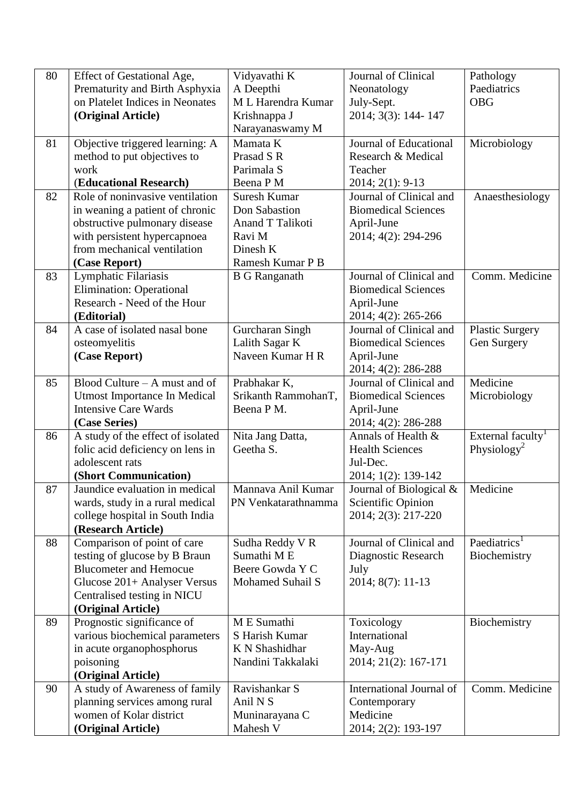| 80 | Effect of Gestational Age,                                         | Vidyavathi K            | Journal of Clinical                       | Pathology                     |
|----|--------------------------------------------------------------------|-------------------------|-------------------------------------------|-------------------------------|
|    | Prematurity and Birth Asphyxia                                     | A Deepthi               | Neonatology                               | Paediatrics                   |
|    | on Platelet Indices in Neonates                                    | M L Harendra Kumar      | July-Sept.                                | <b>OBG</b>                    |
|    | (Original Article)                                                 | Krishnappa J            | 2014; 3(3): 144-147                       |                               |
|    |                                                                    | Narayanaswamy M         |                                           |                               |
| 81 | Objective triggered learning: A                                    | Mamata K                | Journal of Educational                    | Microbiology                  |
|    | method to put objectives to                                        | Prasad S R              | Research & Medical                        |                               |
|    | work                                                               | Parimala S              | Teacher                                   |                               |
|    | (Educational Research)                                             | Beena P M               | $2014; 2(1): 9-13$                        |                               |
| 82 | Role of noninvasive ventilation                                    | <b>Suresh Kumar</b>     | Journal of Clinical and                   | Anaesthesiology               |
|    | in weaning a patient of chronic                                    | Don Sabastion           | <b>Biomedical Sciences</b>                |                               |
|    | obstructive pulmonary disease                                      | Anand T Talikoti        | April-June                                |                               |
|    | with persistent hypercapnoea                                       | Ravi M                  | 2014; 4(2): 294-296                       |                               |
|    | from mechanical ventilation                                        | Dinesh K                |                                           |                               |
|    | (Case Report)                                                      | Ramesh Kumar P B        |                                           |                               |
| 83 | Lymphatic Filariasis                                               | <b>B</b> G Ranganath    | Journal of Clinical and                   | Comm. Medicine                |
|    | <b>Elimination: Operational</b>                                    |                         | <b>Biomedical Sciences</b>                |                               |
|    | Research - Need of the Hour                                        |                         | April-June                                |                               |
|    | (Editorial)                                                        |                         | 2014; 4(2): 265-266                       |                               |
| 84 | A case of isolated nasal bone                                      | Gurcharan Singh         | Journal of Clinical and                   | <b>Plastic Surgery</b>        |
|    | osteomyelitis                                                      | Lalith Sagar K          | <b>Biomedical Sciences</b>                | Gen Surgery                   |
|    | (Case Report)                                                      | Naveen Kumar H R        | April-June                                |                               |
|    |                                                                    |                         | 2014; 4(2): 286-288                       |                               |
| 85 | Blood Culture – A must and of                                      | Prabhakar K,            | Journal of Clinical and                   | Medicine                      |
|    | Utmost Importance In Medical                                       | Srikanth RammohanT,     | <b>Biomedical Sciences</b>                | Microbiology                  |
|    | <b>Intensive Care Wards</b>                                        | Beena P M.              | April-June                                |                               |
|    | (Case Series)                                                      |                         | 2014; 4(2): 286-288                       |                               |
| 86 | A study of the effect of isolated                                  | Nita Jang Datta,        | Annals of Health &                        | External faculty <sup>1</sup> |
|    | folic acid deficiency on lens in                                   | Geetha S.               | <b>Health Sciences</b>                    | Physiology <sup>2</sup>       |
|    | adolescent rats                                                    |                         | Jul-Dec.                                  |                               |
| 87 | (Short Communication)<br>Jaundice evaluation in medical            | Mannava Anil Kumar      | 2014; 1(2): 139-142                       | Medicine                      |
|    |                                                                    | PN Venkatarathnamma     | Journal of Biological &                   |                               |
|    | wards, study in a rural medical<br>college hospital in South India |                         | Scientific Opinion<br>2014; 2(3): 217-220 |                               |
|    | (Research Article)                                                 |                         |                                           |                               |
| 88 | Comparison of point of care                                        | Sudha Reddy V R         | Journal of Clinical and                   | Paediatrics <sup>1</sup>      |
|    | testing of glucose by B Braun                                      | Sumathi ME              | Diagnostic Research                       | Biochemistry                  |
|    | <b>Blucometer and Hemocue</b>                                      | Beere Gowda Y C         | July                                      |                               |
|    | Glucose 201+ Analyser Versus                                       | <b>Mohamed Suhail S</b> | 2014; 8(7): 11-13                         |                               |
|    | Centralised testing in NICU                                        |                         |                                           |                               |
|    | (Original Article)                                                 |                         |                                           |                               |
| 89 | Prognostic significance of                                         | M E Sumathi             | Toxicology                                | Biochemistry                  |
|    | various biochemical parameters                                     | S Harish Kumar          | International                             |                               |
|    | in acute organophosphorus                                          | K N Shashidhar          | May-Aug                                   |                               |
|    | poisoning                                                          | Nandini Takkalaki       | 2014; 21(2): 167-171                      |                               |
|    | (Original Article)                                                 |                         |                                           |                               |
| 90 | A study of Awareness of family                                     | Ravishankar S           | International Journal of                  | Comm. Medicine                |
|    | planning services among rural                                      | Anil N <sub>S</sub>     | Contemporary                              |                               |
|    | women of Kolar district                                            | Muninarayana C          | Medicine                                  |                               |
|    | (Original Article)                                                 | Mahesh V                | 2014; 2(2): 193-197                       |                               |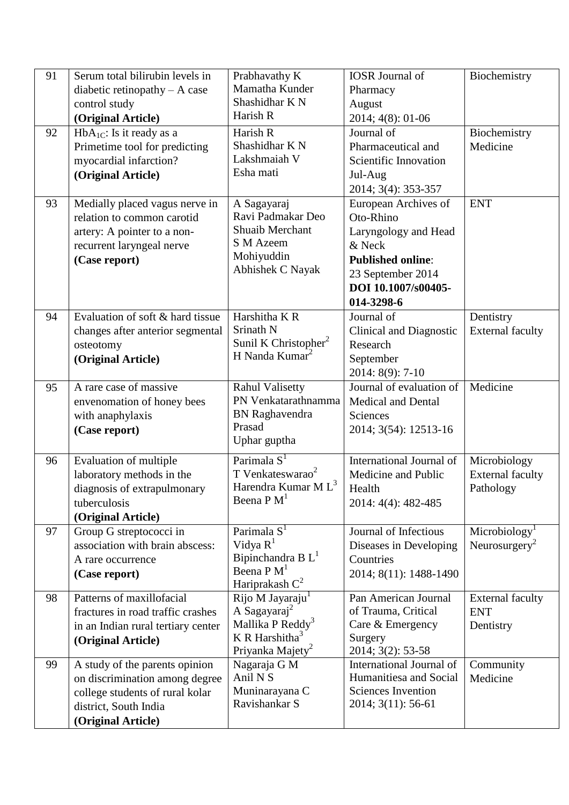| 91 | Serum total bilirubin levels in    | Prabhavathy K                               | <b>IOSR</b> Journal of         | Biochemistry              |
|----|------------------------------------|---------------------------------------------|--------------------------------|---------------------------|
|    | diabetic retinopathy $- A$ case    | Mamatha Kunder                              | Pharmacy                       |                           |
|    | control study                      | Shashidhar K N                              | August                         |                           |
|    | (Original Article)                 | Harish R                                    | 2014; 4(8): 01-06              |                           |
| 92 | $HbA_{1C}$ : Is it ready as a      | Harish R                                    | Journal of                     | Biochemistry              |
|    | Primetime tool for predicting      | Shashidhar K N                              | Pharmaceutical and             | Medicine                  |
|    | myocardial infarction?             | Lakshmaiah V                                | Scientific Innovation          |                           |
|    | (Original Article)                 | Esha mati                                   | Jul-Aug                        |                           |
|    |                                    |                                             | 2014; 3(4): 353-357            |                           |
| 93 | Medially placed vagus nerve in     | A Sagayaraj                                 | European Archives of           | <b>ENT</b>                |
|    | relation to common carotid         | Ravi Padmakar Deo                           | Oto-Rhino                      |                           |
|    | artery: A pointer to a non-        | Shuaib Merchant                             | Laryngology and Head           |                           |
|    | recurrent laryngeal nerve          | S M Azeem                                   | & Neck                         |                           |
|    | (Case report)                      | Mohiyuddin                                  | <b>Published online:</b>       |                           |
|    |                                    | Abhishek C Nayak                            | 23 September 2014              |                           |
|    |                                    |                                             | DOI 10.1007/s00405-            |                           |
|    |                                    |                                             | 014-3298-6                     |                           |
| 94 | Evaluation of soft & hard tissue   | Harshitha K R                               | Journal of                     | Dentistry                 |
|    | changes after anterior segmental   | Srinath N                                   | <b>Clinical and Diagnostic</b> | <b>External faculty</b>   |
|    | osteotomy                          | Sunil K Christopher <sup>2</sup>            | Research                       |                           |
|    | (Original Article)                 | H Nanda Kumar <sup>2</sup>                  | September                      |                           |
|    |                                    |                                             | 2014: 8(9): 7-10               |                           |
| 95 | A rare case of massive             | <b>Rahul Valisetty</b>                      | Journal of evaluation of       | Medicine                  |
|    | envenomation of honey bees         | PN Venkatarathnamma                         | <b>Medical and Dental</b>      |                           |
|    | with anaphylaxis                   | <b>BN</b> Raghavendra                       | Sciences                       |                           |
|    | (Case report)                      | Prasad                                      | 2014; 3(54): 12513-16          |                           |
|    |                                    | Uphar guptha                                |                                |                           |
| 96 | Evaluation of multiple             | Parimala S <sup>1</sup>                     | International Journal of       | Microbiology              |
|    | laboratory methods in the          | T Venkateswarao <sup>2</sup>                | Medicine and Public            | <b>External faculty</b>   |
|    | diagnosis of extrapulmonary        | Harendra Kumar M L <sup>3</sup>             | Health                         | Pathology                 |
|    | tuberculosis                       | Beena P M <sup>1</sup>                      | 2014: 4(4): 482-485            |                           |
|    | (Original Article)                 |                                             |                                |                           |
| 97 | Group G streptococci in            | Parimala $S1$                               | Journal of Infectious          | Microbiology <sup>1</sup> |
|    | association with brain abscess:    | Vidya $R^1$                                 | Diseases in Developing         | Neurosurgery <sup>2</sup> |
|    | A rare occurrence                  | Bipinchandra B L <sup>1</sup>               | Countries                      |                           |
|    | (Case report)                      | Beena P M <sup>1</sup><br>Hariprakash $C^2$ | 2014; 8(11): 1488-1490         |                           |
| 98 | Patterns of maxillofacial          | Rijo M Jayaraju <sup>1</sup>                | Pan American Journal           | <b>External faculty</b>   |
|    | fractures in road traffic crashes  | A Sagayaraj <sup>2</sup>                    | of Trauma, Critical            | <b>ENT</b>                |
|    | in an Indian rural tertiary center | Mallika P Reddy <sup>3</sup>                | Care & Emergency               | Dentistry                 |
|    | (Original Article)                 | K R Harshitha <sup>3</sup>                  | Surgery                        |                           |
|    |                                    | Priyanka Majety <sup>2</sup>                | 2014; 3(2): 53-58              |                           |
| 99 | A study of the parents opinion     | Nagaraja G M                                | International Journal of       | Community                 |
|    | on discrimination among degree     | Anil N <sub>S</sub>                         | Humanitiesa and Social         | Medicine                  |
|    | college students of rural kolar    | Muninarayana C                              | <b>Sciences Invention</b>      |                           |
|    | district, South India              | Ravishankar S                               | 2014; 3(11): 56-61             |                           |
|    | (Original Article)                 |                                             |                                |                           |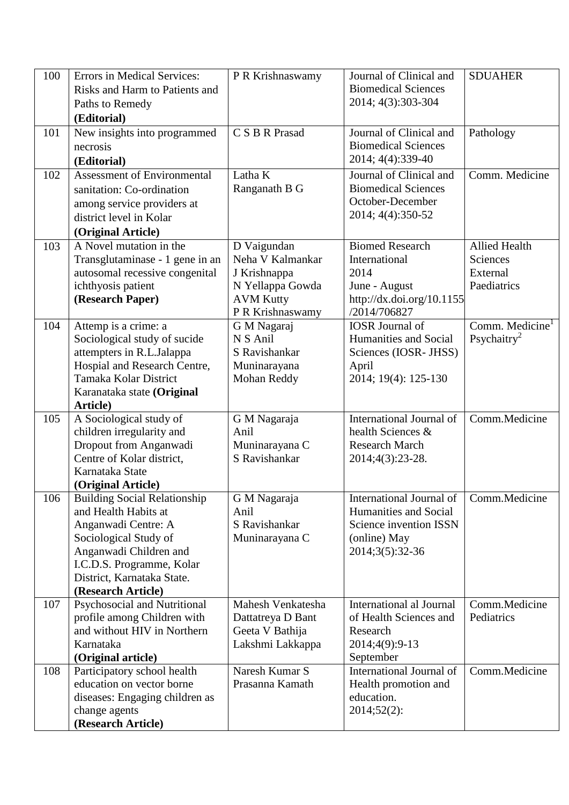| 100 | Errors in Medical Services:                              | P R Krishnaswamy       | Journal of Clinical and                              | <b>SDUAHER</b>              |
|-----|----------------------------------------------------------|------------------------|------------------------------------------------------|-----------------------------|
|     | Risks and Harm to Patients and                           |                        | <b>Biomedical Sciences</b>                           |                             |
|     | Paths to Remedy                                          |                        | 2014; 4(3):303-304                                   |                             |
|     | (Editorial)                                              |                        |                                                      |                             |
| 101 | New insights into programmed                             | C S B R Prasad         | Journal of Clinical and                              | Pathology                   |
|     | necrosis                                                 |                        | <b>Biomedical Sciences</b>                           |                             |
|     | (Editorial)                                              |                        | 2014; 4(4):339-40                                    |                             |
| 102 | <b>Assessment of Environmental</b>                       | Latha K                | Journal of Clinical and                              | Comm. Medicine              |
|     | sanitation: Co-ordination                                | Ranganath B G          | <b>Biomedical Sciences</b>                           |                             |
|     | among service providers at                               |                        | October-December                                     |                             |
|     | district level in Kolar                                  |                        | 2014; 4(4):350-52                                    |                             |
|     | (Original Article)                                       |                        |                                                      |                             |
| 103 | A Novel mutation in the                                  | D Vaigundan            | <b>Biomed Research</b>                               | <b>Allied Health</b>        |
|     | Transglutaminase - 1 gene in an                          | Neha V Kalmankar       | International                                        | Sciences                    |
|     | autosomal recessive congenital                           | J Krishnappa           | 2014                                                 | External                    |
|     | ichthyosis patient                                       | N Yellappa Gowda       | June - August                                        | Paediatrics                 |
|     | (Research Paper)                                         | <b>AVM Kutty</b>       | http://dx.doi.org/10.1155                            |                             |
|     |                                                          | P R Krishnaswamy       | /2014/706827                                         |                             |
| 104 | Attemp is a crime: a                                     | G M Nagaraj            | <b>IOSR</b> Journal of                               | Comm. Medicine <sup>1</sup> |
|     | Sociological study of sucide                             | N S Anil               | Humanities and Social                                | Psychaitry <sup>2</sup>     |
|     | attempters in R.L.Jalappa                                | S Ravishankar          | Sciences (IOSR- JHSS)                                |                             |
|     | Hospial and Research Centre,                             | Muninarayana           | April                                                |                             |
|     | Tamaka Kolar District                                    | Mohan Reddy            | 2014; 19(4): 125-130                                 |                             |
|     | Karanataka state (Original                               |                        |                                                      |                             |
|     | Article)                                                 |                        |                                                      |                             |
| 105 | A Sociological study of                                  | G M Nagaraja           | <b>International Journal of</b><br>health Sciences & | Comm.Medicine               |
|     | children irregularity and<br>Dropout from Anganwadi      | Anil<br>Muninarayana C | <b>Research March</b>                                |                             |
|     | Centre of Kolar district,                                | S Ravishankar          | 2014;4(3):23-28.                                     |                             |
|     | Karnataka State                                          |                        |                                                      |                             |
|     | (Original Article)                                       |                        |                                                      |                             |
| 106 | <b>Building Social Relationship</b>                      | G M Nagaraja           | International Journal of                             | Comm.Medicine               |
|     | and Health Habits at                                     | Anil                   | Humanities and Social                                |                             |
|     | Anganwadi Centre: A                                      | S Ravishankar          | Science invention ISSN                               |                             |
|     | Sociological Study of                                    | Muninarayana C         | (online) May                                         |                             |
|     | Anganwadi Children and                                   |                        | 2014;3(5):32-36                                      |                             |
|     | I.C.D.S. Programme, Kolar                                |                        |                                                      |                             |
|     | District, Karnataka State.                               |                        |                                                      |                             |
|     | (Research Article)                                       |                        |                                                      |                             |
| 107 | Psychosocial and Nutritional                             | Mahesh Venkatesha      | <b>International al Journal</b>                      | Comm.Medicine               |
|     | profile among Children with                              | Dattatreya D Bant      | of Health Sciences and                               | Pediatrics                  |
|     | and without HIV in Northern                              | Geeta V Bathija        | Research                                             |                             |
|     | Karnataka                                                | Lakshmi Lakkappa       | 2014;4(9):9-13                                       |                             |
|     | (Original article)                                       | Naresh Kumar S         | September<br><b>International Journal of</b>         | Comm.Medicine               |
| 108 | Participatory school health<br>education on vector borne | Prasanna Kamath        | Health promotion and                                 |                             |
|     | diseases: Engaging children as                           |                        | education.                                           |                             |
|     | change agents                                            |                        | 2014;52(2):                                          |                             |
|     | (Research Article)                                       |                        |                                                      |                             |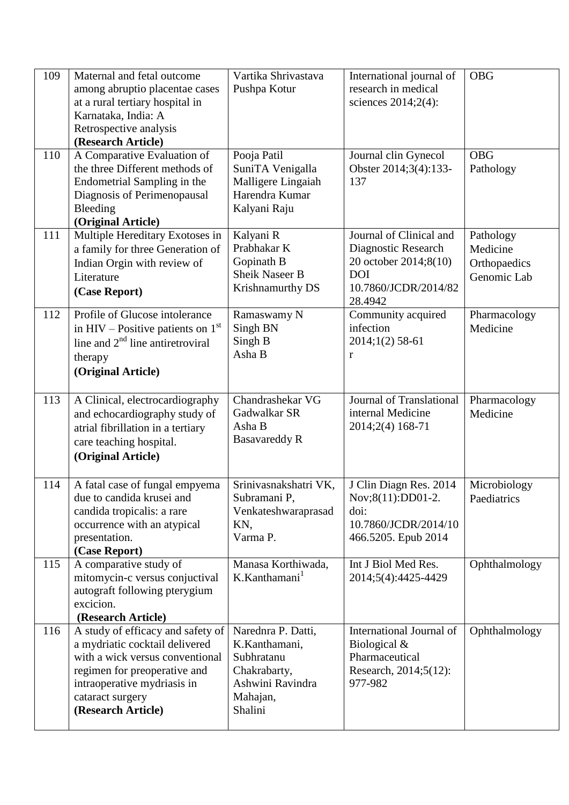| 109 | Maternal and fetal outcome<br>among abruptio placentae cases<br>at a rural tertiary hospital in<br>Karnataka, India: A<br>Retrospective analysis<br>(Research Article)                                          | Vartika Shrivastava<br>Pushpa Kotur                                                                          | International journal of<br>research in medical<br>sciences 2014;2(4):                                                   | <b>OBG</b>                                           |
|-----|-----------------------------------------------------------------------------------------------------------------------------------------------------------------------------------------------------------------|--------------------------------------------------------------------------------------------------------------|--------------------------------------------------------------------------------------------------------------------------|------------------------------------------------------|
| 110 | A Comparative Evaluation of<br>the three Different methods of<br>Endometrial Sampling in the<br>Diagnosis of Perimenopausal<br>Bleeding<br>(Original Article)                                                   | Pooja Patil<br>SuniTA Venigalla<br>Malligere Lingaiah<br>Harendra Kumar<br>Kalyani Raju                      | Journal clin Gynecol<br>Obster 2014;3(4):133-<br>137                                                                     | <b>OBG</b><br>Pathology                              |
| 111 | Multiple Hereditary Exotoses in<br>a family for three Generation of<br>Indian Orgin with review of<br>Literature<br>(Case Report)                                                                               | Kalyani R<br>Prabhakar K<br>Gopinath B<br><b>Sheik Naseer B</b><br>Krishnamurthy DS                          | Journal of Clinical and<br>Diagnostic Research<br>20 october 2014;8(10)<br><b>DOI</b><br>10.7860/JCDR/2014/82<br>28.4942 | Pathology<br>Medicine<br>Orthopaedics<br>Genomic Lab |
| 112 | Profile of Glucose intolerance<br>in HIV – Positive patients on $1st$<br>line and $2nd$ line antiretroviral<br>therapy<br>(Original Article)                                                                    | Ramaswamy N<br>Singh BN<br>Singh B<br>Asha B                                                                 | Community acquired<br>infection<br>2014;1(2) 58-61<br>r                                                                  | Pharmacology<br>Medicine                             |
| 113 | A Clinical, electrocardiography<br>and echocardiography study of<br>atrial fibrillation in a tertiary<br>care teaching hospital.<br>(Original Article)                                                          | Chandrashekar VG<br>Gadwalkar SR<br>Asha B<br><b>Basavareddy R</b>                                           | Journal of Translational<br>internal Medicine<br>2014;2(4) 168-71                                                        | Pharmacology<br>Medicine                             |
| 114 | A fatal case of fungal empyema<br>due to candida krusei and<br>candida tropicalis: a rare<br>occurrence with an atypical<br>presentation.<br>(Case Report)                                                      | Srinivasnakshatri VK,<br>Subramani P,<br>Venkateshwaraprasad<br>KN,<br>Varma P.                              | J Clin Diagn Res. 2014<br>Nov;8(11):DD01-2.<br>doi:<br>10.7860/JCDR/2014/10<br>466.5205. Epub 2014                       | Microbiology<br>Paediatrics                          |
| 115 | A comparative study of<br>mitomycin-c versus conjuctival<br>autograft following pterygium<br>excicion.<br>(Research Article)                                                                                    | Manasa Korthiwada,<br>K.Kanthamani <sup>1</sup>                                                              | Int J Biol Med Res.<br>2014;5(4):4425-4429                                                                               | Ophthalmology                                        |
| 116 | A study of efficacy and safety of<br>a mydriatic cocktail delivered<br>with a wick versus conventional<br>regimen for preoperative and<br>intraoperative mydriasis in<br>cataract surgery<br>(Research Article) | Narednra P. Datti,<br>K.Kanthamani,<br>Subhratanu<br>Chakrabarty,<br>Ashwini Ravindra<br>Mahajan,<br>Shalini | International Journal of<br>Biological $&$<br>Pharmaceutical<br>Research, 2014;5(12):<br>977-982                         | Ophthalmology                                        |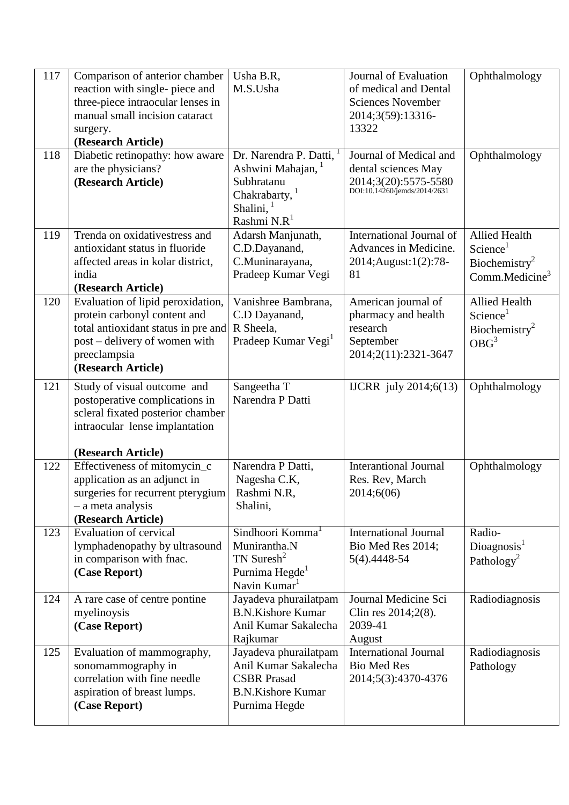| 117 | Comparison of anterior chamber      | Usha B.R,                                              | Journal of Evaluation                                | Ophthalmology             |
|-----|-------------------------------------|--------------------------------------------------------|------------------------------------------------------|---------------------------|
|     | reaction with single- piece and     | M.S.Usha                                               | of medical and Dental                                |                           |
|     | three-piece intraocular lenses in   |                                                        | <b>Sciences November</b>                             |                           |
|     | manual small incision cataract      |                                                        | 2014;3(59):13316-                                    |                           |
|     | surgery.                            |                                                        | 13322                                                |                           |
|     | (Research Article)                  |                                                        |                                                      |                           |
| 118 | Diabetic retinopathy: how aware     | Dr. Narendra P. Datti, <sup>1</sup>                    | Journal of Medical and                               | Ophthalmology             |
|     | are the physicians?                 | Ashwini Mahajan,                                       | dental sciences May                                  |                           |
|     | (Research Article)                  | Subhratanu                                             | 2014;3(20):5575-5580<br>DOI:10.14260/jemds/2014/2631 |                           |
|     |                                     | Chakrabarty, <sup>1</sup>                              |                                                      |                           |
|     |                                     | Shalini, $1$                                           |                                                      |                           |
|     |                                     | Rashmi N.R <sup>1</sup>                                |                                                      |                           |
| 119 | Trenda on oxidativestress and       | Adarsh Manjunath,                                      | International Journal of                             | <b>Allied Health</b>      |
|     | antioxidant status in fluoride      | C.D.Dayanand,                                          | Advances in Medicine.                                | Science <sup>1</sup>      |
|     | affected areas in kolar district,   | C.Muninarayana,                                        | 2014; August: 1(2): 78-                              | Biochemistry <sup>2</sup> |
|     | india                               | Pradeep Kumar Vegi                                     | 81                                                   | Comm.Medicine $3$         |
|     | (Research Article)                  |                                                        |                                                      |                           |
| 120 | Evaluation of lipid peroxidation,   | Vanishree Bambrana,                                    | American journal of                                  | <b>Allied Health</b>      |
|     | protein carbonyl content and        | C.D Dayanand,                                          | pharmacy and health                                  | Science <sup>1</sup>      |
|     | total antioxidant status in pre and | R Sheela.                                              | research                                             | Biochemistry <sup>2</sup> |
|     | post – delivery of women with       | Pradeep Kumar Vegi <sup>1</sup>                        | September                                            | OBG <sup>3</sup>          |
|     | preeclampsia                        |                                                        | 2014;2(11):2321-3647                                 |                           |
|     | (Research Article)                  |                                                        |                                                      |                           |
| 121 | Study of visual outcome and         | Sangeetha T                                            | <b>IJCRR</b> july 2014;6(13)                         | Ophthalmology             |
|     | postoperative complications in      | Narendra P Datti                                       |                                                      |                           |
|     | scleral fixated posterior chamber   |                                                        |                                                      |                           |
|     | intraocular lense implantation      |                                                        |                                                      |                           |
|     |                                     |                                                        |                                                      |                           |
|     | (Research Article)                  |                                                        |                                                      |                           |
| 122 | Effectiveness of mitomycin_c        | Narendra P Datti,                                      | <b>Interantional Journal</b>                         | Ophthalmology             |
|     | application as an adjunct in        | Nagesha C.K,                                           | Res. Rev, March                                      |                           |
|     | surgeries for recurrent pterygium   | Rashmi N.R,                                            | 2014;6(06)                                           |                           |
|     | - a meta analysis                   | Shalini,                                               |                                                      |                           |
|     | (Research Article)                  |                                                        |                                                      |                           |
| 123 | <b>Evaluation of cervical</b>       | Sindhoori Komma <sup>1</sup>                           | <b>International Journal</b>                         | Radio-                    |
|     | lymphadenopathy by ultrasound       | Munirantha.N                                           | Bio Med Res 2014;                                    | Diognosis <sup>1</sup>    |
|     | in comparison with fnac.            | TN Suresh <sup>2</sup>                                 | 5(4).4448-54                                         | Pathology <sup>2</sup>    |
|     | (Case Report)                       | Purnima Hegde <sup>1</sup><br>Navin Kumar <sup>1</sup> |                                                      |                           |
| 124 | A rare case of centre pontine       | Jayadeva phurailatpam                                  | Journal Medicine Sci                                 | Radiodiagnosis            |
|     | myelinoysis                         | <b>B.N.Kishore Kumar</b>                               | Clin res 2014;2(8).                                  |                           |
|     | (Case Report)                       | Anil Kumar Sakalecha                                   | 2039-41                                              |                           |
|     |                                     | Rajkumar                                               | August                                               |                           |
| 125 | Evaluation of mammography,          | Jayadeva phurailatpam                                  | <b>International Journal</b>                         | Radiodiagnosis            |
|     | sonomammography in                  | Anil Kumar Sakalecha                                   | <b>Bio Med Res</b>                                   | Pathology                 |
|     | correlation with fine needle        | <b>CSBR</b> Prasad                                     | 2014;5(3):4370-4376                                  |                           |
|     | aspiration of breast lumps.         | <b>B.N.Kishore Kumar</b>                               |                                                      |                           |
|     | (Case Report)                       | Purnima Hegde                                          |                                                      |                           |
|     |                                     |                                                        |                                                      |                           |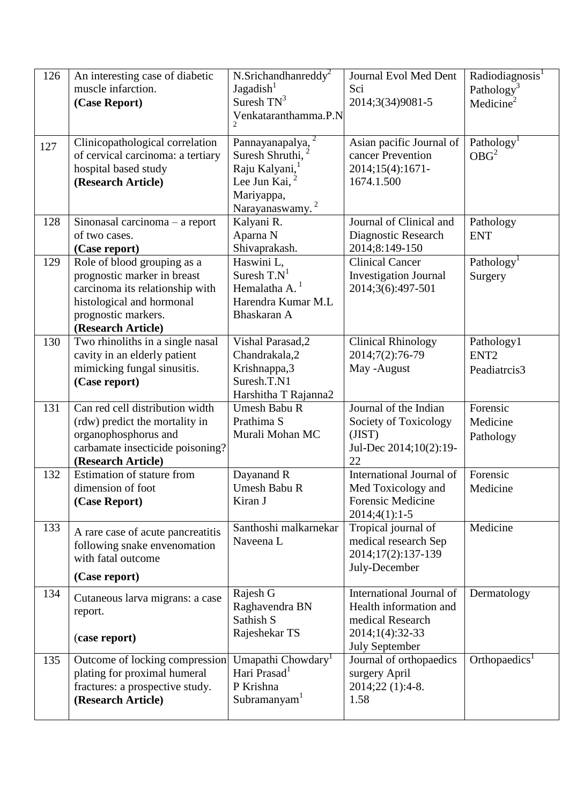| 126 | An interesting case of diabetic                        | N.Srichandhanreddy <sup>2</sup>           | Journal Evol Med Dent                    | Radiodiagnosis <sup>1</sup> |
|-----|--------------------------------------------------------|-------------------------------------------|------------------------------------------|-----------------------------|
|     | muscle infarction.                                     | Jagadish <sup>1</sup>                     | Sci                                      | Pathology <sup>3</sup>      |
|     | (Case Report)                                          | Suresh $TN^3$                             | 2014;3(34)9081-5                         | Medicine <sup>2</sup>       |
|     |                                                        | Venkataranthamma.P.N                      |                                          |                             |
|     |                                                        |                                           |                                          |                             |
| 127 | Clinicopathological correlation                        | Pannayanapalya, <sup>2</sup>              | Asian pacific Journal of                 | Pathology <sup>1</sup>      |
|     | of cervical carcinoma: a tertiary                      | Suresh Shruthi,                           | cancer Prevention                        | OBG <sup>2</sup>            |
|     | hospital based study                                   | Raju Kalyani,                             | 2014;15(4):1671-                         |                             |
|     | (Research Article)                                     | Lee Jun Kai,                              | 1674.1.500                               |                             |
|     |                                                        | Mariyappa,<br>Narayanaswamy. <sup>2</sup> |                                          |                             |
| 128 | Sinonasal carcinoma $-$ a report                       | Kalyani R.                                | Journal of Clinical and                  | Pathology                   |
|     | of two cases.                                          | Aparna N                                  | Diagnostic Research                      | <b>ENT</b>                  |
|     | (Case report)                                          | Shivaprakash.                             | 2014;8:149-150                           |                             |
| 129 | Role of blood grouping as $a$                          | Haswini L,                                | <b>Clinical Cancer</b>                   | Pathology <sup>1</sup>      |
|     | prognostic marker in breast                            | Suresh $T.N^1$                            | <b>Investigation Journal</b>             | Surgery                     |
|     | carcinoma its relationship with                        | Hemalatha A. $1$                          | 2014;3(6):497-501                        |                             |
|     | histological and hormonal                              | Harendra Kumar M.L                        |                                          |                             |
|     | prognostic markers.                                    | Bhaskaran A                               |                                          |                             |
|     | (Research Article)                                     |                                           |                                          |                             |
| 130 | Two rhinoliths in a single nasal                       | Vishal Parasad, 2                         | <b>Clinical Rhinology</b>                | Pathology1                  |
|     | cavity in an elderly patient                           | Chandrakala,2                             | 2014;7(2):76-79                          | ENT <sub>2</sub>            |
|     | mimicking fungal sinusitis.                            | Krishnappa,3                              | May -August                              | Peadiatrcis3                |
|     | (Case report)                                          | Suresh.T.N1                               |                                          |                             |
|     |                                                        | Harshitha T Rajanna2                      |                                          |                             |
| 131 | Can red cell distribution width                        | <b>Umesh Babu R</b>                       | Journal of the Indian                    | Forensic                    |
|     | (rdw) predict the mortality in                         | Prathima S                                | Society of Toxicology                    | Medicine                    |
|     | organophosphorus and                                   | Murali Mohan MC                           | (JIST)                                   | Pathology                   |
|     | carbamate insecticide poisoning?<br>(Research Article) |                                           | Jul-Dec 2014;10(2):19-<br>22             |                             |
| 132 | Estimation of stature from                             | Dayanand R                                | International Journal of                 | Forensic                    |
|     | dimension of foot                                      | <b>Umesh Babu R</b>                       | Med Toxicology and                       | Medicine                    |
|     | (Case Report)                                          | Kiran J                                   | <b>Forensic Medicine</b>                 |                             |
|     |                                                        |                                           | $2014;4(1):1-5$                          |                             |
| 133 | A rare case of acute pancreatitis                      | Santhoshi malkarnekar                     | Tropical journal of                      | Medicine                    |
|     | following snake envenomation                           | Naveena L                                 | medical research Sep                     |                             |
|     | with fatal outcome                                     |                                           | 2014;17(2):137-139                       |                             |
|     |                                                        |                                           | July-December                            |                             |
|     | (Case report)                                          |                                           |                                          |                             |
| 134 | Cutaneous larva migrans: a case                        | Rajesh G                                  | International Journal of                 | Dermatology                 |
|     | report.                                                | Raghavendra BN                            | Health information and                   |                             |
|     |                                                        | Sathish S                                 | medical Research                         |                             |
|     | (case report)                                          | Rajeshekar TS                             | 2014;1(4):32-33<br><b>July September</b> |                             |
| 135 | Outcome of locking compression                         | Umapathi Chowdary <sup>1</sup>            | Journal of orthopaedics                  | Orthopaedics <sup>1</sup>   |
|     | plating for proximal humeral                           | Hari Prasad <sup>1</sup>                  | surgery April                            |                             |
|     | fractures: a prospective study.                        | P Krishna                                 | 2014;22 (1):4-8.                         |                             |
|     | (Research Article)                                     | Subramanyam <sup>1</sup>                  | 1.58                                     |                             |
|     |                                                        |                                           |                                          |                             |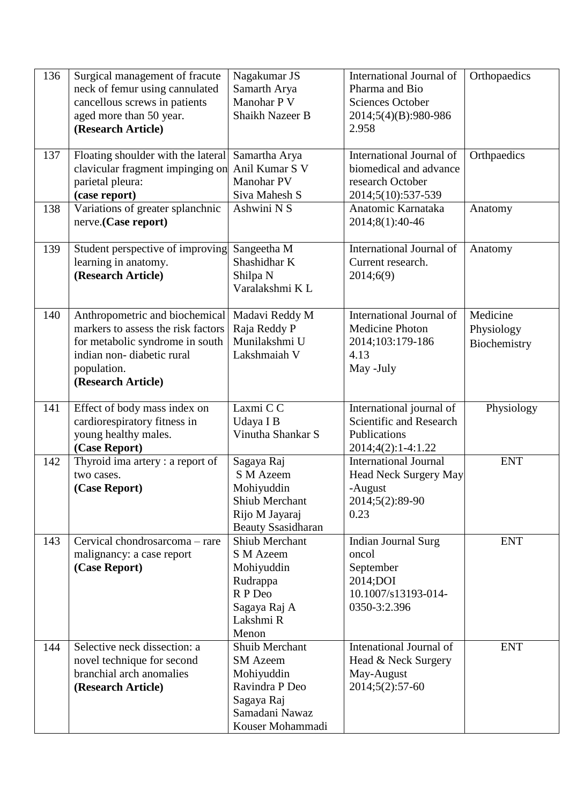| 136 | Surgical management of fracute<br>neck of femur using cannulated<br>cancellous screws in patients<br>aged more than 50 year.<br>(Research Article)                        | Nagakumar JS<br>Samarth Arya<br>Manohar P V<br><b>Shaikh Nazeer B</b>                                                 | International Journal of<br>Pharma and Bio<br><b>Sciences October</b><br>2014;5(4)(B):980-986<br>2.958 | Orthopaedics                           |
|-----|---------------------------------------------------------------------------------------------------------------------------------------------------------------------------|-----------------------------------------------------------------------------------------------------------------------|--------------------------------------------------------------------------------------------------------|----------------------------------------|
| 137 | Floating shoulder with the lateral<br>clavicular fragment impinging on<br>parietal pleura:<br>(case report)                                                               | Samartha Arya<br>Anil Kumar S V<br>Manohar PV<br>Siva Mahesh S                                                        | International Journal of<br>biomedical and advance<br>research October<br>2014;5(10):537-539           | Orthpaedics                            |
| 138 | Variations of greater splanchnic<br>nerve.(Case report)                                                                                                                   | Ashwini N S                                                                                                           | Anatomic Karnataka<br>2014;8(1):40-46                                                                  | Anatomy                                |
| 139 | Student perspective of improving<br>learning in anatomy.<br>(Research Article)                                                                                            | Sangeetha M<br>Shashidhar K<br>Shilpa N<br>Varalakshmi KL                                                             | International Journal of<br>Current research.<br>2014;6(9)                                             | Anatomy                                |
| 140 | Anthropometric and biochemical<br>markers to assess the risk factors<br>for metabolic syndrome in south<br>indian non-diabetic rural<br>population.<br>(Research Article) | Madavi Reddy M<br>Raja Reddy P<br>Munilakshmi U<br>Lakshmaiah V                                                       | International Journal of<br><b>Medicine Photon</b><br>2014;103:179-186<br>4.13<br>May -July            | Medicine<br>Physiology<br>Biochemistry |
| 141 | Effect of body mass index on<br>cardiorespiratory fitness in<br>young healthy males.<br>(Case Report)                                                                     | Laxmi CC<br>Udaya I B<br>Vinutha Shankar S                                                                            | International journal of<br>Scientific and Research<br>Publications<br>2014;4(2):1-4:1.22              | Physiology                             |
| 142 | Thyroid ima artery : a report of<br>two cases.<br>(Case Report)                                                                                                           | Sagaya Raj<br>S M Azeem<br>Mohiyuddin<br>Shiub Merchant<br>Rijo M Jayaraj<br><b>Beauty Ssasidharan</b>                | <b>International Journal</b><br><b>Head Neck Surgery May</b><br>-August<br>2014;5(2):89-90<br>0.23     | <b>ENT</b>                             |
| 143 | Cervical chondrosarcoma - rare<br>malignancy: a case report<br>(Case Report)                                                                                              | <b>Shiub Merchant</b><br><b>S</b> M Azeem<br>Mohiyuddin<br>Rudrappa<br>R P Deo<br>Sagaya Raj A<br>Lakshmi R<br>Menon  | <b>Indian Journal Surg</b><br>oncol<br>September<br>2014;DOI<br>10.1007/s13193-014-<br>0350-3:2.396    | <b>ENT</b>                             |
| 144 | Selective neck dissection: a<br>novel technique for second<br>branchial arch anomalies<br>(Research Article)                                                              | Shuib Merchant<br><b>SM</b> Azeem<br>Mohiyuddin<br>Ravindra P Deo<br>Sagaya Raj<br>Samadani Nawaz<br>Kouser Mohammadi | Intenational Journal of<br>Head & Neck Surgery<br>May-August<br>$2014;5(2):57-60$                      | <b>ENT</b>                             |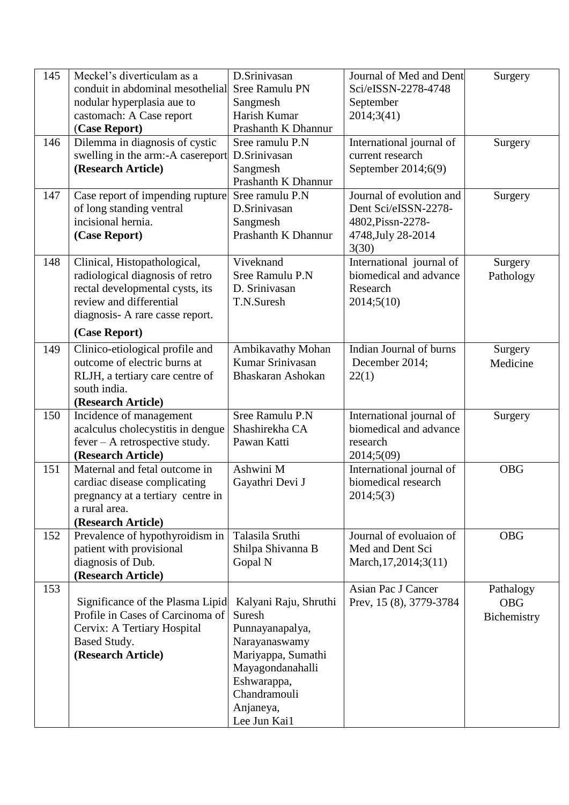| 145 | Meckel's diverticulam as a        | D.Srinivasan          | Journal of Med and Dent  | Surgery     |
|-----|-----------------------------------|-----------------------|--------------------------|-------------|
|     | conduit in abdominal mesothelial  | Sree Ramulu PN        | Sci/eISSN-2278-4748      |             |
|     | nodular hyperplasia aue to        | Sangmesh              | September                |             |
|     | castomach: A Case report          | Harish Kumar          | 2014;3(41)               |             |
|     | (Case Report)                     | Prashanth K Dhannur   |                          |             |
| 146 | Dilemma in diagnosis of cystic    | Sree ramulu P.N       | International journal of | Surgery     |
|     | swelling in the arm:-A casereport | D.Srinivasan          | current research         |             |
|     | (Research Article)                | Sangmesh              | September 2014;6(9)      |             |
|     |                                   | Prashanth K Dhannur   |                          |             |
| 147 | Case report of impending rupture  | Sree ramulu P.N       | Journal of evolution and | Surgery     |
|     | of long standing ventral          | D.Srinivasan          | Dent Sci/eISSN-2278-     |             |
|     | incisional hernia.                |                       | 4802, Pissn-2278-        |             |
|     |                                   | Sangmesh              |                          |             |
|     | (Case Report)                     | Prashanth K Dhannur   | 4748, July 28-2014       |             |
|     |                                   |                       | 3(30)                    |             |
| 148 | Clinical, Histopathological,      | Viveknand             | International journal of | Surgery     |
|     | radiological diagnosis of retro   | Sree Ramulu P.N       | biomedical and advance   | Pathology   |
|     | rectal developmental cysts, its   | D. Srinivasan         | Research                 |             |
|     | review and differential           | T.N.Suresh            | 2014;5(10)               |             |
|     | diagnosis- A rare casse report.   |                       |                          |             |
|     | (Case Report)                     |                       |                          |             |
| 149 | Clinico-etiological profile and   | Ambikavathy Mohan     | Indian Journal of burns  | Surgery     |
|     | outcome of electric burns at      | Kumar Srinivasan      | December 2014;           | Medicine    |
|     | RLJH, a tertiary care centre of   | Bhaskaran Ashokan     | 22(1)                    |             |
|     | south india.                      |                       |                          |             |
|     | (Research Article)                |                       |                          |             |
| 150 | Incidence of management           | Sree Ramulu P.N       | International journal of | Surgery     |
|     | acalculus cholecystitis in dengue | Shashirekha CA        | biomedical and advance   |             |
|     | $fever - A retrospective study.$  | Pawan Katti           | research                 |             |
|     | (Research Article)                |                       | 2014;5(09)               |             |
| 151 | Maternal and fetal outcome in     | Ashwini M             | International journal of | <b>OBG</b>  |
|     | cardiac disease complicating      | Gayathri Devi J       | biomedical research      |             |
|     | pregnancy at a tertiary centre in |                       | 2014;5(3)                |             |
|     | a rural area.                     |                       |                          |             |
|     | (Research Article)                |                       |                          |             |
| 152 | Prevalence of hypothyroidism in   | Talasila Sruthi       | Journal of evoluaion of  | <b>OBG</b>  |
|     | patient with provisional          | Shilpa Shivanna B     | Med and Dent Sci         |             |
|     | diagnosis of Dub.                 | Gopal N               | March, 17, 2014; 3(11)   |             |
|     | (Research Article)                |                       |                          |             |
| 153 |                                   |                       | Asian Pac J Cancer       | Pathalogy   |
|     | Significance of the Plasma Lipid  | Kalyani Raju, Shruthi |                          | <b>OBG</b>  |
|     | Profile in Cases of Carcinoma of  | Suresh                | Prev, 15 (8), 3779-3784  |             |
|     |                                   |                       |                          | Bichemistry |
|     | Cervix: A Tertiary Hospital       | Punnayanapalya,       |                          |             |
|     | Based Study.                      | Narayanaswamy         |                          |             |
|     | (Research Article)                | Mariyappa, Sumathi    |                          |             |
|     |                                   | Mayagondanahalli      |                          |             |
|     |                                   | Eshwarappa,           |                          |             |
|     |                                   | Chandramouli          |                          |             |
|     |                                   | Anjaneya,             |                          |             |
|     |                                   | Lee Jun Kai1          |                          |             |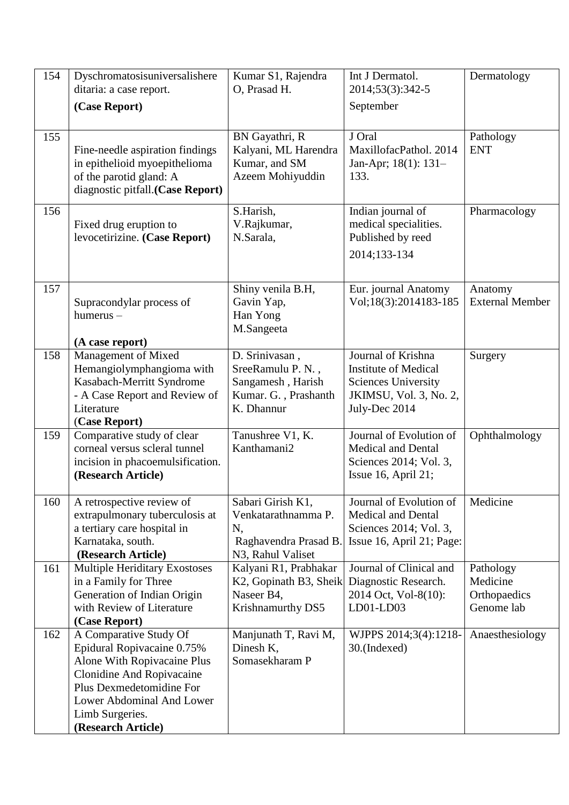| 154 | Dyschromatosisuniversalishere<br>ditaria: a case report.                                                                                                                                                           | Kumar S1, Rajendra<br>O, Prasad H.                                                                        | Int J Dermatol.<br>2014;53(3):342-5                                                                                        | Dermatology                                         |
|-----|--------------------------------------------------------------------------------------------------------------------------------------------------------------------------------------------------------------------|-----------------------------------------------------------------------------------------------------------|----------------------------------------------------------------------------------------------------------------------------|-----------------------------------------------------|
|     | (Case Report)                                                                                                                                                                                                      |                                                                                                           | September                                                                                                                  |                                                     |
| 155 | Fine-needle aspiration findings<br>in epithelioid myoepithelioma<br>of the parotid gland: A<br>diagnostic pitfall.(Case Report)                                                                                    | BN Gayathri, R<br>Kalyani, ML Harendra<br>Kumar, and SM<br>Azeem Mohiyuddin                               | J Oral<br>MaxillofacPathol. 2014<br>Jan-Apr; 18(1): 131-<br>133.                                                           | Pathology<br><b>ENT</b>                             |
| 156 | Fixed drug eruption to<br>levocetirizine. (Case Report)                                                                                                                                                            | S.Harish,<br>V.Rajkumar,<br>N.Sarala,                                                                     | Indian journal of<br>medical specialities.<br>Published by reed<br>2014;133-134                                            | Pharmacology                                        |
| 157 | Supracondylar process of<br>$humerus -$<br>(A case report)                                                                                                                                                         | Shiny venila B.H,<br>Gavin Yap,<br>Han Yong<br>M.Sangeeta                                                 | Eur. journal Anatomy<br>Vol;18(3):2014183-185                                                                              | Anatomy<br><b>External Member</b>                   |
| 158 | Management of Mixed<br>Hemangiolymphangioma with<br>Kasabach-Merritt Syndrome<br>- A Case Report and Review of<br>Literature<br>(Case Report)                                                                      | D. Srinivasan,<br>SreeRamulu P. N.,<br>Sangamesh, Harish<br>Kumar. G., Prashanth<br>K. Dhannur            | Journal of Krishna<br><b>Institute of Medical</b><br><b>Sciences University</b><br>JKIMSU, Vol. 3, No. 2,<br>July-Dec 2014 | Surgery                                             |
| 159 | Comparative study of clear<br>corneal versus scleral tunnel<br>incision in phacoemulsification.<br>(Research Article)                                                                                              | Tanushree V1, K.<br>Kanthamani2                                                                           | Journal of Evolution of<br><b>Medical and Dental</b><br>Sciences 2014; Vol. 3,<br>Issue 16, April 21;                      | Ophthalmology                                       |
| 160 | A retrospective review of<br>extrapulmonary tuberculosis at<br>a tertiary care hospital in<br>Karnataka, south.<br>(Research Article)                                                                              | Sabari Girish K1,<br>Venkatarathnamma P.<br>N,<br>Raghavendra Prasad B.<br>N <sub>3</sub> , Rahul Valiset | Journal of Evolution of<br><b>Medical and Dental</b><br>Sciences 2014; Vol. 3,<br>Issue 16, April 21; Page:                | Medicine                                            |
| 161 | <b>Multiple Heriditary Exostoses</b><br>in a Family for Three<br>Generation of Indian Origin<br>with Review of Literature<br>(Case Report)                                                                         | Kalyani R1, Prabhakar<br>K2, Gopinath B3, Sheik<br>Naseer B4,<br>Krishnamurthy DS5                        | Journal of Clinical and<br>Diagnostic Research.<br>2014 Oct, Vol-8(10):<br>LD01-LD03                                       | Pathology<br>Medicine<br>Orthopaedics<br>Genome lab |
| 162 | A Comparative Study Of<br>Epidural Ropivacaine 0.75%<br>Alone With Ropivacaine Plus<br>Clonidine And Ropivacaine<br>Plus Dexmedetomidine For<br>Lower Abdominal And Lower<br>Limb Surgeries.<br>(Research Article) | Manjunath T, Ravi M,<br>Dinesh K,<br>Somasekharam P                                                       | WJPPS 2014;3(4):1218-<br>30.(Indexed)                                                                                      | Anaesthesiology                                     |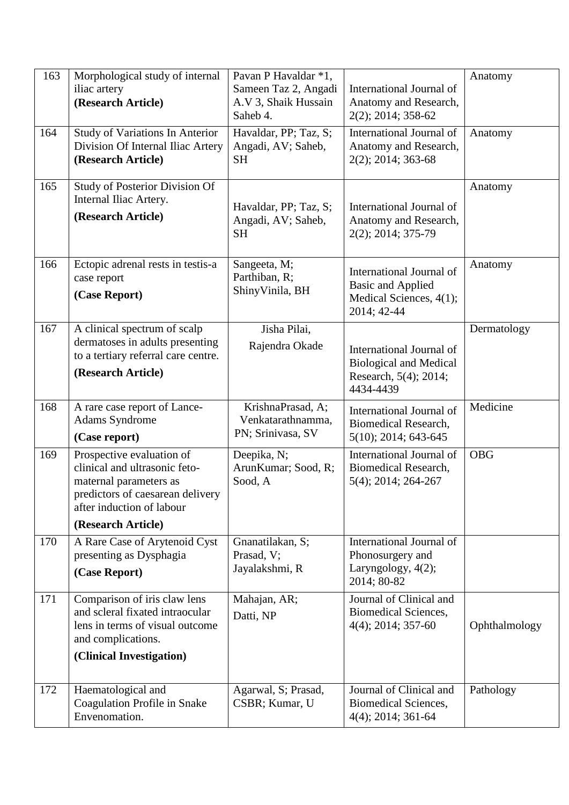| 163<br>164 | Morphological study of internal<br>iliac artery<br>(Research Article)<br><b>Study of Variations In Anterior</b>                                                             | Pavan P Havaldar *1,<br>Sameen Taz 2, Angadi<br>A.V 3, Shaik Hussain<br>Saheb 4.<br>Havaldar, PP; Taz, S; | International Journal of<br>Anatomy and Research,<br>2(2); 2014; 358-62<br>International Journal of | Anatomy<br>Anatomy |
|------------|-----------------------------------------------------------------------------------------------------------------------------------------------------------------------------|-----------------------------------------------------------------------------------------------------------|-----------------------------------------------------------------------------------------------------|--------------------|
|            | Division Of Internal Iliac Artery<br>(Research Article)                                                                                                                     | Angadi, AV; Saheb,<br><b>SH</b>                                                                           | Anatomy and Research,<br>2(2); 2014; 363-68                                                         |                    |
| 165        | Study of Posterior Division Of<br>Internal Iliac Artery.<br>(Research Article)                                                                                              | Havaldar, PP; Taz, S;<br>Angadi, AV; Saheb,<br><b>SH</b>                                                  | International Journal of<br>Anatomy and Research,<br>2(2); 2014; 375-79                             | Anatomy            |
| 166        | Ectopic adrenal rests in testis-a<br>case report<br>(Case Report)                                                                                                           | Sangeeta, M;<br>Parthiban, R;<br>ShinyVinila, BH                                                          | International Journal of<br><b>Basic and Applied</b><br>Medical Sciences, 4(1);<br>2014; 42-44      | Anatomy            |
| 167        | A clinical spectrum of scalp<br>dermatoses in adults presenting<br>to a tertiary referral care centre.<br>(Research Article)                                                | Jisha Pilai,<br>Rajendra Okade                                                                            | International Journal of<br><b>Biological and Medical</b><br>Research, 5(4); 2014;<br>4434-4439     | Dermatology        |
| 168        | A rare case report of Lance-<br><b>Adams Syndrome</b><br>(Case report)                                                                                                      | KrishnaPrasad, A;<br>Venkatarathnamma,<br>PN; Srinivasa, SV                                               | International Journal of<br>Biomedical Research,<br>$5(10)$ ; 2014; 643-645                         | Medicine           |
| 169        | Prospective evaluation of<br>clinical and ultrasonic feto-<br>maternal parameters as<br>predictors of caesarean delivery<br>after induction of labour<br>(Research Article) | Deepika, N;<br>ArunKumar; Sood, R;<br>Sood, A                                                             | International Journal of<br>Biomedical Research,<br>$5(4)$ ; 2014; 264-267                          | <b>OBG</b>         |
| 170        | A Rare Case of Arytenoid Cyst<br>presenting as Dysphagia<br>(Case Report)                                                                                                   | Gnanatilakan, S;<br>Prasad, V;<br>Jayalakshmi, R                                                          | International Journal of<br>Phonosurgery and<br>Laryngology, 4(2);<br>2014; 80-82                   |                    |
| 171        | Comparison of iris claw lens<br>and scleral fixated intraocular<br>lens in terms of visual outcome<br>and complications.<br>(Clinical Investigation)                        | Mahajan, AR;<br>Datti, NP                                                                                 | Journal of Clinical and<br>Biomedical Sciences,<br>$4(4)$ ; 2014; 357-60                            | Ophthalmology      |
| 172        | Haematological and<br>Coagulation Profile in Snake<br>Envenomation.                                                                                                         | Agarwal, S; Prasad,<br>CSBR; Kumar, U                                                                     | Journal of Clinical and<br>Biomedical Sciences,<br>$4(4)$ ; 2014; 361-64                            | Pathology          |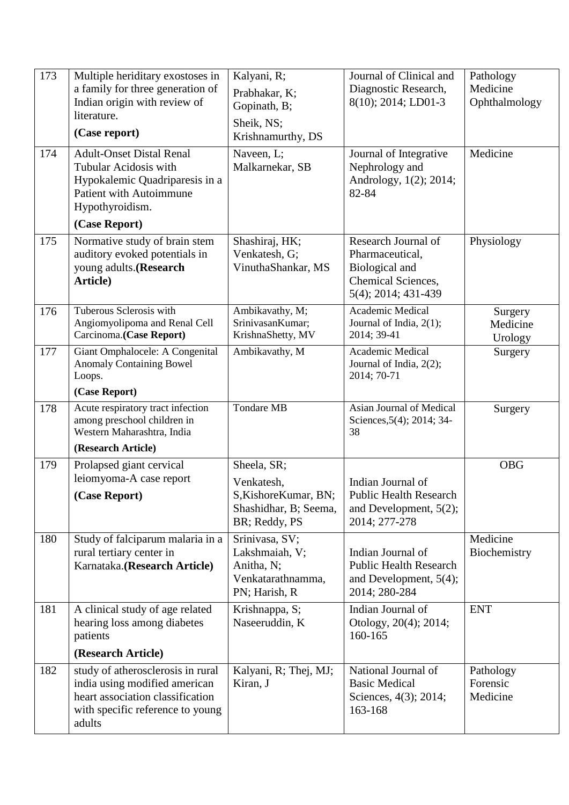| 173<br>174 | Multiple heriditary exostoses in<br>a family for three generation of<br>Indian origin with review of<br>literature.<br>(Case report)<br><b>Adult-Onset Distal Renal</b><br>Tubular Acidosis with<br>Hypokalemic Quadriparesis in a<br><b>Patient with Autoimmune</b><br>Hypothyroidism.<br>(Case Report) | Kalyani, R;<br>Prabhakar, K;<br>Gopinath, B;<br>Sheik, NS;<br>Krishnamurthy, DS<br>Naveen, L;<br>Malkarnekar, SB | Journal of Clinical and<br>Diagnostic Research,<br>8(10); 2014; LD01-3<br>Journal of Integrative<br>Nephrology and<br>Andrology, 1(2); 2014;<br>82-84 | Pathology<br>Medicine<br>Ophthalmology<br>Medicine |
|------------|----------------------------------------------------------------------------------------------------------------------------------------------------------------------------------------------------------------------------------------------------------------------------------------------------------|------------------------------------------------------------------------------------------------------------------|-------------------------------------------------------------------------------------------------------------------------------------------------------|----------------------------------------------------|
| 175        | Normative study of brain stem<br>auditory evoked potentials in<br>young adults.(Research<br>Article)                                                                                                                                                                                                     | Shashiraj, HK;<br>Venkatesh, G;<br>VinuthaShankar, MS                                                            | Research Journal of<br>Pharmaceutical,<br>Biological and<br>Chemical Sciences,<br>5(4); 2014; 431-439                                                 | Physiology                                         |
| 176        | Tuberous Sclerosis with<br>Angiomyolipoma and Renal Cell<br>Carcinoma.(Case Report)                                                                                                                                                                                                                      | Ambikavathy, M;<br>SrinivasanKumar;<br>KrishnaShetty, MV                                                         | Academic Medical<br>Journal of India, 2(1);<br>2014; 39-41                                                                                            | Surgery<br>Medicine<br>Urology                     |
| 177        | Giant Omphalocele: A Congenital<br><b>Anomaly Containing Bowel</b><br>Loops.<br>(Case Report)                                                                                                                                                                                                            | Ambikavathy, M                                                                                                   | Academic Medical<br>Journal of India, 2(2);<br>2014; 70-71                                                                                            | Surgery                                            |
| 178        | Acute respiratory tract infection<br>among preschool children in<br>Western Maharashtra, India<br>(Research Article)                                                                                                                                                                                     | <b>Tondare MB</b>                                                                                                | Asian Journal of Medical<br>Sciences, 5(4); 2014; 34-<br>38                                                                                           | Surgery                                            |
| 179        | Prolapsed giant cervical<br>leiomyoma-A case report<br>(Case Report)                                                                                                                                                                                                                                     | Sheela, SR;<br>Venkatesh,<br>S, Kishore Kumar, BN;<br>Shashidhar, B; Seema,<br>BR; Reddy, PS                     | Indian Journal of<br><b>Public Health Research</b><br>and Development, $5(2)$ ;<br>2014; 277-278                                                      | <b>OBG</b>                                         |
| 180        | Study of falciparum malaria in a<br>rural tertiary center in<br>Karnataka.(Research Article)                                                                                                                                                                                                             | Srinivasa, SV;<br>Lakshmaiah, V;<br>Anitha, N;<br>Venkatarathnamma,<br>PN; Harish, R                             | Indian Journal of<br><b>Public Health Research</b><br>and Development, $5(4)$ ;<br>2014; 280-284                                                      | Medicine<br>Biochemistry                           |
| 181        | A clinical study of age related<br>hearing loss among diabetes<br>patients<br>(Research Article)                                                                                                                                                                                                         | Krishnappa, S;<br>Naseeruddin, K                                                                                 | Indian Journal of<br>Otology, 20(4); 2014;<br>160-165                                                                                                 | <b>ENT</b>                                         |
| 182        | study of atherosclerosis in rural<br>india using modified american<br>heart association classification<br>with specific reference to young<br>adults                                                                                                                                                     | Kalyani, R; Thej, MJ;<br>Kiran, J                                                                                | National Journal of<br><b>Basic Medical</b><br>Sciences, 4(3); 2014;<br>163-168                                                                       | Pathology<br>Forensic<br>Medicine                  |